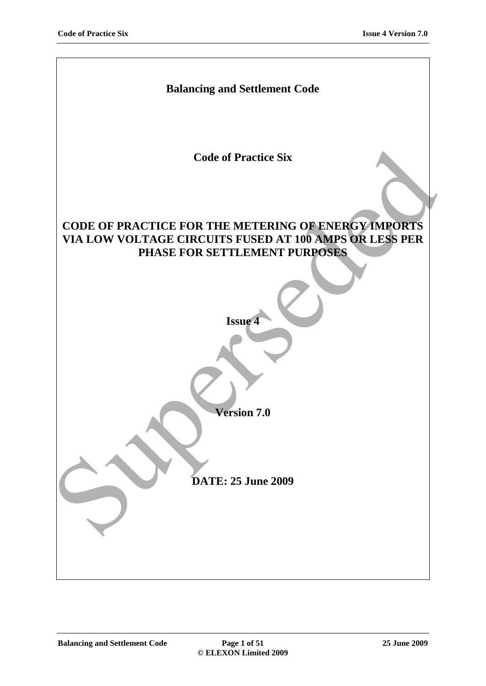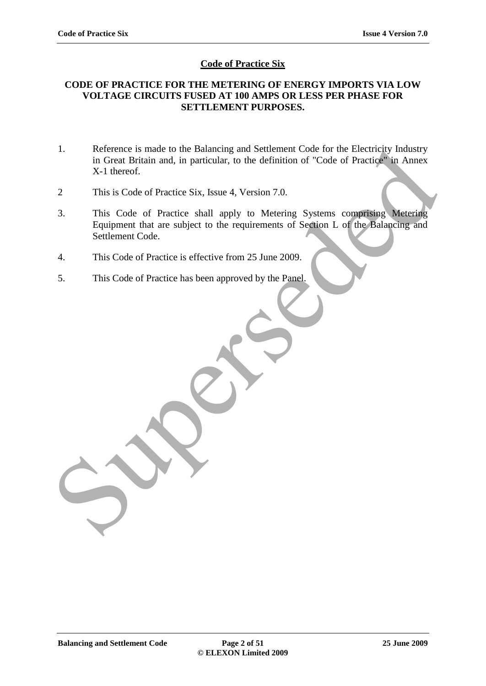# **Code of Practice Six**

# **CODE OF PRACTICE FOR THE METERING OF ENERGY IMPORTS VIA LOW VOLTAGE CIRCUITS FUSED AT 100 AMPS OR LESS PER PHASE FOR SETTLEMENT PURPOSES.**

- 1. Reference is made to the Balancing and Settlement Code for the Electricity Industry in Great Britain and, in particular, to the definition of "Code of Practice" in Annex X-1 thereof.
- 2 This is Code of Practice Six, Issue 4, Version 7.0.
- 3. This Code of Practice shall apply to Metering Systems comprising Metering Equipment that are subject to the requirements of Section L of the Balancing and Settlement Code. 1. Reference is made to the Balancing and Settlement Code for the Electricity industry<br>in Great Britain and, in particular, to the definition of "Code of Practice" in Annex<br>X-1 thereof.<br>2 This is Code of Practice Six, Issu
- 4. This Code of Practice is effective from 25 June 2009.
- 5. This Code of Practice has been approved by the Panel.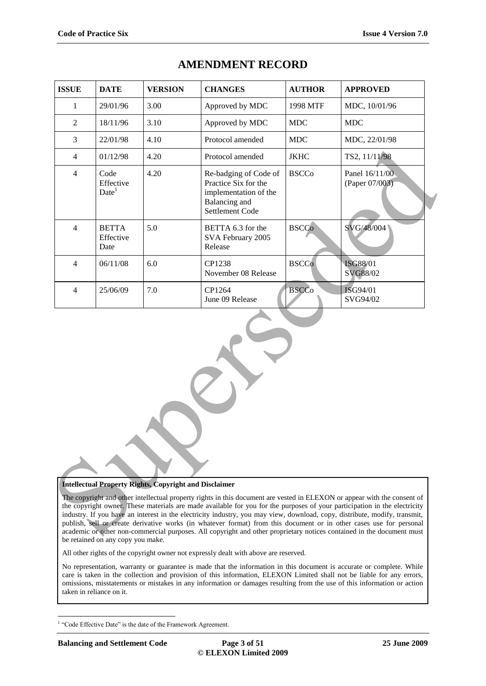| <b>ISSUE</b>                                                                                                                                                                                                                                                                                                                                                                                                                                                                                                                                                                                                                                                                                         | <b>DATE</b>                            | <b>VERSION</b> | <b>CHANGES</b>                                                                                             | <b>AUTHOR</b> | <b>APPROVED</b>                  |  |  |
|------------------------------------------------------------------------------------------------------------------------------------------------------------------------------------------------------------------------------------------------------------------------------------------------------------------------------------------------------------------------------------------------------------------------------------------------------------------------------------------------------------------------------------------------------------------------------------------------------------------------------------------------------------------------------------------------------|----------------------------------------|----------------|------------------------------------------------------------------------------------------------------------|---------------|----------------------------------|--|--|
| 1                                                                                                                                                                                                                                                                                                                                                                                                                                                                                                                                                                                                                                                                                                    | 29/01/96                               | 3.00           | Approved by MDC                                                                                            | 1998 MTF      | MDC, 10/01/96                    |  |  |
| $\overline{2}$                                                                                                                                                                                                                                                                                                                                                                                                                                                                                                                                                                                                                                                                                       | 18/11/96                               | 3.10           | Approved by MDC                                                                                            | <b>MDC</b>    | <b>MDC</b>                       |  |  |
| 3                                                                                                                                                                                                                                                                                                                                                                                                                                                                                                                                                                                                                                                                                                    | 22/01/98                               | 4.10           | Protocol amended                                                                                           | <b>MDC</b>    | MDC, 22/01/98                    |  |  |
| $\overline{4}$                                                                                                                                                                                                                                                                                                                                                                                                                                                                                                                                                                                                                                                                                       | 01/12/98                               | 4.20           | Protocol amended                                                                                           | <b>JKHC</b>   | TS2, 11/11/98                    |  |  |
| $\overline{4}$                                                                                                                                                                                                                                                                                                                                                                                                                                                                                                                                                                                                                                                                                       | Code<br>Effective<br>Date <sup>1</sup> | 4.20           | Re-badging of Code of<br>Practice Six for the<br>implementation of the<br>Balancing and<br>Settlement Code | <b>BSCCo</b>  | Panel 16/11/00<br>(Paper 07/003) |  |  |
| $\overline{4}$                                                                                                                                                                                                                                                                                                                                                                                                                                                                                                                                                                                                                                                                                       | <b>BETTA</b><br>Effective<br>Date      | 5.0            | BETTA 6.3 for the<br>SVA February 2005<br>Release                                                          | <b>BSCCo</b>  | SVG/48/004                       |  |  |
| $\overline{4}$                                                                                                                                                                                                                                                                                                                                                                                                                                                                                                                                                                                                                                                                                       | 06/11/08                               | 6.0            | CP1238<br>November 08 Release                                                                              | <b>BSCCo</b>  | <b>ISG88/01</b><br>SVG88/02      |  |  |
| $\overline{4}$                                                                                                                                                                                                                                                                                                                                                                                                                                                                                                                                                                                                                                                                                       | 25/06/09                               | 7.0            | CP1264<br>June 09 Release                                                                                  | <b>BSCCo</b>  | ISG94/01<br>SVG94/02             |  |  |
|                                                                                                                                                                                                                                                                                                                                                                                                                                                                                                                                                                                                                                                                                                      |                                        |                |                                                                                                            |               |                                  |  |  |
| <b>Intellectual Property Rights, Copyright and Disclaimer</b><br>The copyright and other intellectual property rights in this document are vested in ELEXON or appear with the consent of<br>the copyright owner. These materials are made available for you for the purposes of your participation in the electricity<br>industry. If you have an interest in the electricity industry, you may view, download, copy, distribute, modify, transmit,<br>publish, sell or create derivative works (in whatever format) from this document or in other cases use for personal<br>academic or other non-commercial purposes. All copyright and other proprietary notices contained in the document must |                                        |                |                                                                                                            |               |                                  |  |  |

# **AMENDMENT RECORD**

#### **Intellectual Property Rights, Copyright and Disclaimer**

The copyright and other intellectual property rights in this document are vested in ELEXON or appear with the consent of the copyright owner. These materials are made available for you for the purposes of your participation in the electricity industry. If you have an interest in the electricity industry, you may view, download, copy, distribute, modify, transmit, publish, sell or create derivative works (in whatever format) from this document or in other cases use for personal academic or other non-commercial purposes. All copyright and other proprietary notices contained in the document must be retained on any copy you make.

All other rights of the copyright owner not expressly dealt with above are reserved.

No representation, warranty or guarantee is made that the information in this document is accurate or complete. While care is taken in the collection and provision of this information, ELEXON Limited shall not be liable for any errors, omissions, misstatements or mistakes in any information or damages resulting from the use of this information or action taken in reliance on it.

 $\overline{a}$ 

<sup>&</sup>lt;sup>1</sup> "Code Effective Date" is the date of the Framework Agreement.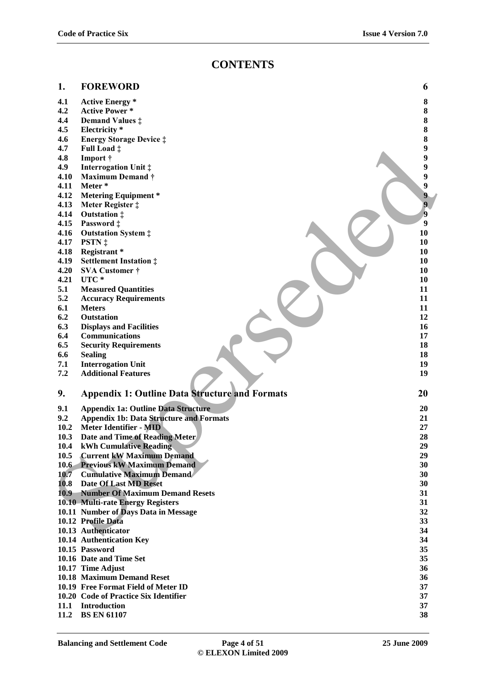# **CONTENTS**

#### **1. FOREWORD 6**

- **4.1 Active Energy \* 8**
- **4.2 Active Power \* 8**
- **4.4 Demand Values ‡ 8**
- **4.5 Electricity \* 8**
- **4.6 Energy Storage Device ‡ 8**
- **4.7 Full Load ‡ 9**
- **4.8 Import † 9**
- **4.9 Interrogation Unit ‡ 9**
- **4.10 Maximum Demand † 9**
- **4.11 Meter \* 9**
- **4.12 Metering Equipment \* 9**<br>**4.13 Meter Register**  $\ddagger$  **9**
- **4.13 Meter Register ‡ 9**
- **4.14 Outstation ‡ 9**<br>**4.15 Password † 9**
- **4.15 Password ‡ 9**
- **4.16 Outstation System ‡ 10**
- **4.17 PSTN ‡ 10**
- **4.18 Registrant \* 10**
- **4.19 Settlement Instation ‡ 10**
- **4.20 SVA Customer † 10**
- **4.21 UTC \* 10**
- **5.1 Measured Quantities 11**
- **5.2 Accuracy Requirements 11**
- **6.1 Meters 11**
- **6.2 Outstation 12**
- **6.3 Displays and Facilities 16**
- **6.4 Communications 17**
- **6.5 Security Requirements 18**
- **6.6 Sealing 18**
- **7.1 Interrogation Unit 19**
- **7.2 Additional Features 19**

#### **9. Appendix 1: Outline Data Structure and Formats 20**

- **9.1 Appendix 1a: Outline Data Structure 20 9.2 Appendix 1b: Data Structure and Formats 21 10.2 Meter Identifier - MID 27 10.3 Date and Time of Reading Meter 28 10.4 kWh Cumulative Reading 29 10.5 Current kW Maximum Demand 29 10.6 Previous kW Maximum Demand 30 10.7 Cumulative Maximum Demand 30 10.8 Date Of Last MD Reset 30 10.9 Number Of Maximum Demand Resets 31 10.10 Multi-rate Energy Registers 31 10.11 Number of Days Data in Message 32 10.12 Profile Data 33 10.13 Authenticator 34 10.14 Authentication Key 34 10.15 Password 35 10.16 Date and Time Set 35 10.17 Time Adjust 36 10.18 Maximum Demand Reset 36 10.19 Free Format Field of Meter ID 37** 4.7 Full Load of the Supervisor Control and Realist 2011<br>
143 Import +<br>
4.10 Maximum Demand +<br>
4.11 Maximum Demand +<br>
4.11 Maximum Demand +<br>
4.13 Neter Registers +<br>
4.15 Password +<br>
4.15 Password +<br>
4.15 Password +<br>
4.15 P
- **10.20 Code of Practice Six Identifier 37**
- **11.1 Introduction 37**
- **11.2 BS EN 61107 38**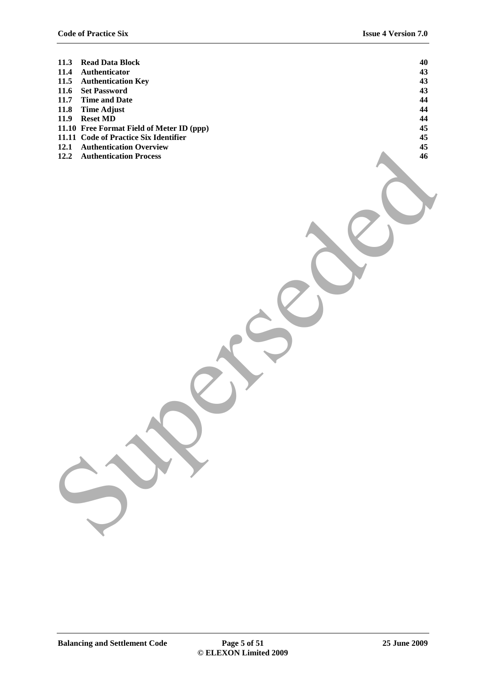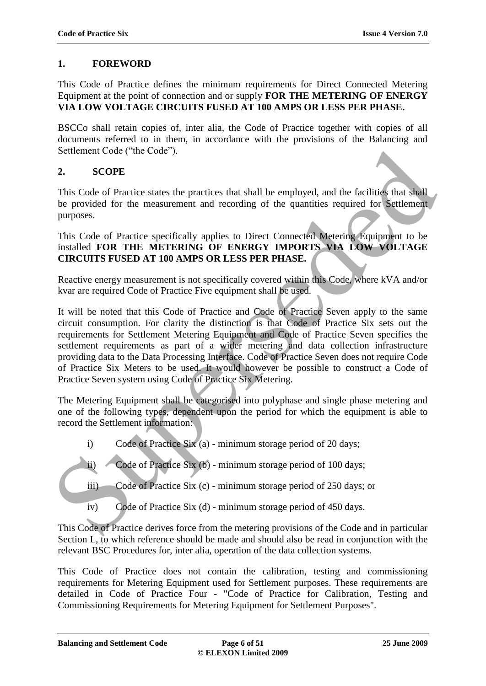# **1. FOREWORD**

This Code of Practice defines the minimum requirements for Direct Connected Metering Equipment at the point of connection and or supply **FOR THE METERING OF ENERGY VIA LOW VOLTAGE CIRCUITS FUSED AT 100 AMPS OR LESS PER PHASE.**

BSCCo shall retain copies of, inter alia, the Code of Practice together with copies of all documents referred to in them, in accordance with the provisions of the Balancing and Settlement Code ("the Code").

# **2. SCOPE**

This Code of Practice states the practices that shall be employed, and the facilities that shall be provided for the measurement and recording of the quantities required for Settlement purposes.

This Code of Practice specifically applies to Direct Connected Metering Equipment to be installed **FOR THE METERING OF ENERGY IMPORTS VIA LOW VOLTAGE CIRCUITS FUSED AT 100 AMPS OR LESS PER PHASE.**

Reactive energy measurement is not specifically covered within this Code, where kVA and/or kvar are required Code of Practice Five equipment shall be used.

It will be noted that this Code of Practice and Code of Practice Seven apply to the same circuit consumption. For clarity the distinction is that Code of Practice Six sets out the requirements for Settlement Metering Equipment and Code of Practice Seven specifies the settlement requirements as part of a wider metering and data collection infrastructure providing data to the Data Processing Interface. Code of Practice Seven does not require Code of Practice Six Meters to be used. It would however be possible to construct a Code of Practice Seven system using Code of Practice Six Metering. Settlement Code ("the Code").<br>
2. SCOPE<br>
2. SCOPE<br>
2. SCOPE<br>
2. SCOPE<br>
2. SCOPE<br>
2. SCOPE<br>
2. SCOPE<br>
2. SCOPE<br>
2. SCOPE<br>
2. SCOPE<br>
2. SCOPE<br>
2. SCOPE<br>
2. SCOPE OF PRIEC SMERICATIVE OF CONTICE Connected Metering Equipment

The Metering Equipment shall be categorised into polyphase and single phase metering and one of the following types, dependent upon the period for which the equipment is able to record the Settlement information:

- i) Code of Practice Six (a) minimum storage period of 20 days;
- ii) Code of Practice Six (b) minimum storage period of 100 days;
- iii) Code of Practice Six (c) minimum storage period of 250 days; or
- iv) Code of Practice Six (d) minimum storage period of 450 days.

This Code of Practice derives force from the metering provisions of the Code and in particular Section L, to which reference should be made and should also be read in conjunction with the relevant BSC Procedures for, inter alia, operation of the data collection systems.

This Code of Practice does not contain the calibration, testing and commissioning requirements for Metering Equipment used for Settlement purposes. These requirements are detailed in Code of Practice Four - "Code of Practice for Calibration, Testing and Commissioning Requirements for Metering Equipment for Settlement Purposes".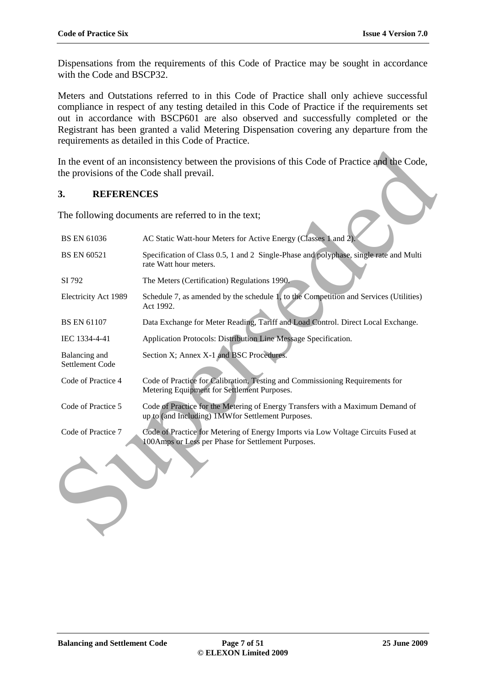Dispensations from the requirements of this Code of Practice may be sought in accordance with the Code and BSCP32.

Meters and Outstations referred to in this Code of Practice shall only achieve successful compliance in respect of any testing detailed in this Code of Practice if the requirements set out in accordance with BSCP601 are also observed and successfully completed or the Registrant has been granted a valid Metering Dispensation covering any departure from the requirements as detailed in this Code of Practice.

# **3. REFERENCES**

| In the event of an inconsistency between the provisions of this Code of Practice and the Code,<br>the provisions of the Code shall prevail. |                                                                                                                                         |  |  |  |
|---------------------------------------------------------------------------------------------------------------------------------------------|-----------------------------------------------------------------------------------------------------------------------------------------|--|--|--|
| 3.<br><b>REFERENCES</b>                                                                                                                     |                                                                                                                                         |  |  |  |
|                                                                                                                                             | The following documents are referred to in the text;                                                                                    |  |  |  |
| <b>BS EN 61036</b>                                                                                                                          | AC Static Watt-hour Meters for Active Energy (Classes 1 and 2).                                                                         |  |  |  |
| <b>BS EN 60521</b>                                                                                                                          | Specification of Class 0.5, 1 and 2 Single-Phase and polyphase, single rate and Multi<br>rate Watt hour meters.                         |  |  |  |
| SI 792                                                                                                                                      | The Meters (Certification) Regulations 1990.                                                                                            |  |  |  |
| Electricity Act 1989                                                                                                                        | Schedule 7, as amended by the schedule 1, to the Competition and Services (Utilities)<br>Act 1992.                                      |  |  |  |
| <b>BS EN 61107</b>                                                                                                                          | Data Exchange for Meter Reading, Tariff and Load Control. Direct Local Exchange.                                                        |  |  |  |
| IEC 1334-4-41                                                                                                                               | Application Protocols: Distribution Line Message Specification.                                                                         |  |  |  |
| Balancing and<br>Settlement Code                                                                                                            | Section X; Annex X-1 and BSC Procedures.                                                                                                |  |  |  |
| Code of Practice 4                                                                                                                          | Code of Practice for Calibration, Testing and Commissioning Requirements for<br>Metering Equipment for Settlement Purposes.             |  |  |  |
| Code of Practice 5                                                                                                                          | Code of Practice for the Metering of Energy Transfers with a Maximum Demand of<br>up to (and Including) 1MWfor Settlement Purposes.     |  |  |  |
| Code of Practice 7                                                                                                                          | Code of Practice for Metering of Energy Imports via Low Voltage Circuits Fused at<br>100Amps or Less per Phase for Settlement Purposes. |  |  |  |
|                                                                                                                                             |                                                                                                                                         |  |  |  |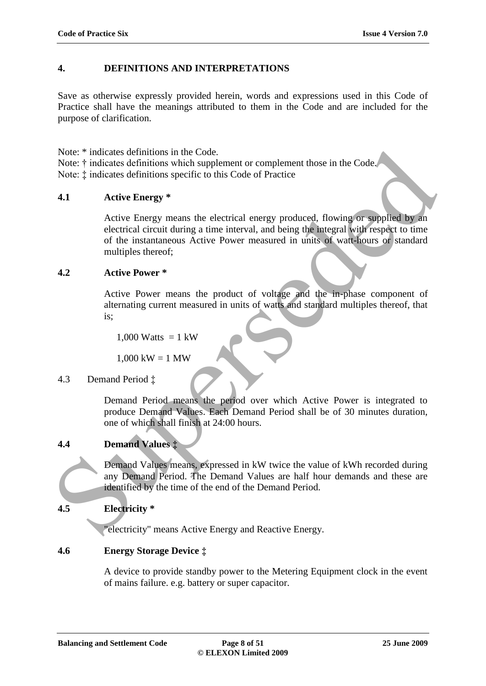# **4. DEFINITIONS AND INTERPRETATIONS**

Save as otherwise expressly provided herein, words and expressions used in this Code of Practice shall have the meanings attributed to them in the Code and are included for the purpose of clarification.

Note: \* indicates definitions in the Code.

Note: † indicates definitions which supplement or complement those in the Code. Note: ‡ indicates definitions specific to this Code of Practice

# **4.1 Active Energy \***

Active Energy means the electrical energy produced, flowing or supplied by an electrical circuit during a time interval, and being the integral with respect to time of the instantaneous Active Power measured in units of watt-hours or standard multiples thereof; Note: <sup>+</sup> indicates definitions in the Code.<br>
Note: <sup>+</sup> indicates definitions which supplement or complement those in the Code.<br>
Note:  $\frac{1}{2}$  indicates definitions specific to this Code of Practice<br>
4.1 Active Energy

#### **4.2 Active Power \***

Active Power means the product of voltage and the in-phase component of alternating current measured in units of watts and standard multiples thereof, that is;

 $1,000$  Watts = 1 kW

 $1,000 \text{ kW} = 1 \text{ MW}$ 

# 4.3 Demand Period ‡

Demand Period means the period over which Active Power is integrated to produce Demand Values. Each Demand Period shall be of 30 minutes duration, one of which shall finish at 24:00 hours.

# **4.4 Demand Values ‡**

Demand Values means, expressed in kW twice the value of kWh recorded during any Demand Period. The Demand Values are half hour demands and these are identified by the time of the end of the Demand Period.

# **4.5 Electricity \***

"electricity" means Active Energy and Reactive Energy.

# **4.6 Energy Storage Device ‡**

A device to provide standby power to the Metering Equipment clock in the event of mains failure. e.g. battery or super capacitor.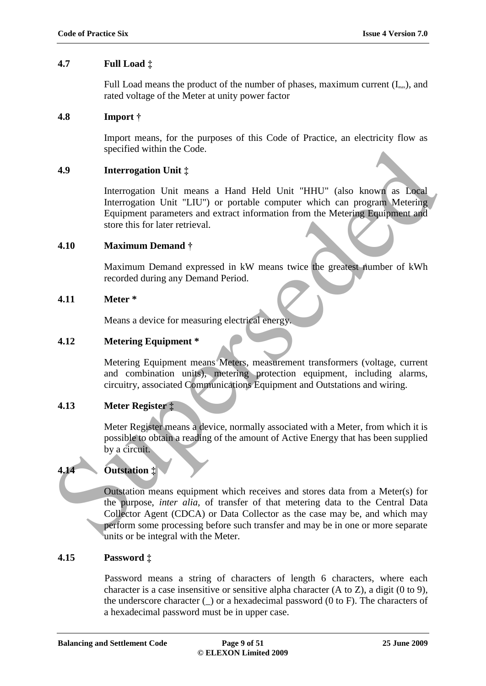### **4.7 Full Load ‡**

Full Load means the product of the number of phases, maximum current  $(I<sub>max</sub>)$ , and rated voltage of the Meter at unity power factor

#### **4.8 Import †**

Import means, for the purposes of this Code of Practice, an electricity flow as specified within the Code.

#### **4.9 Interrogation Unit ‡**

Interrogation Unit means a Hand Held Unit "HHU" (also known as Local Interrogation Unit "LIU") or portable computer which can program Metering Equipment parameters and extract information from the Metering Equipment and store this for later retrieval.

#### **4.10 Maximum Demand †**

Maximum Demand expressed in kW means twice the greatest number of kWh recorded during any Demand Period.

#### **4.11 Meter \***

Means a device for measuring electrical energy.

### **4.12 Metering Equipment \***

Metering Equipment means Meters, measurement transformers (voltage, current and combination units), metering protection equipment, including alarms, circuitry, associated Communications Equipment and Outstations and wiring.

# **4.13 Meter Register ‡**

Meter Register means a device, normally associated with a Meter, from which it is possible to obtain a reading of the amount of Active Energy that has been supplied by a circuit.

# **4.14 Outstation ‡**

Outstation means equipment which receives and stores data from a Meter(s) for the purpose, *inter alia,* of transfer of that metering data to the Central Data Collector Agent (CDCA) or Data Collector as the case may be, and which may perform some processing before such transfer and may be in one or more separate units or be integral with the Meter. Specified within the Code.<br>
Interropation Unit †<br>
Interrogation Unit †<br>
Interrogation Unit †<br>
Interrogation Unit †<br>
ILU") or portable computer which can program Metering<br>
Equipment parameters and extract reformation from t

#### **4.15 Password ‡**

Password means a string of characters of length 6 characters, where each character is a case insensitive or sensitive alpha character (A to Z), a digit (0 to 9), the underscore character  $\cup$  or a hexadecimal password (0 to F). The characters of a hexadecimal password must be in upper case.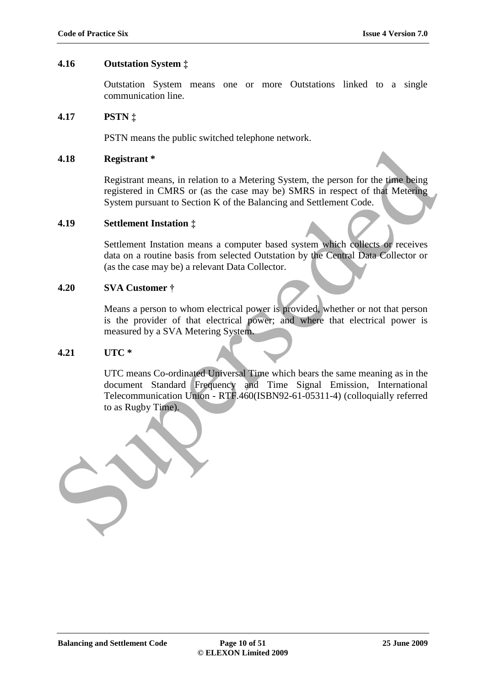#### **4.16 Outstation System ‡**

Outstation System means one or more Outstations linked to a single communication line.

#### **4.17 PSTN ‡**

PSTN means the public switched telephone network.

#### **4.18 Registrant \***

Registrant means, in relation to a Metering System, the person for the time being registered in CMRS or (as the case may be) SMRS in respect of that Metering System pursuant to Section K of the Balancing and Settlement Code.

#### **4.19 Settlement Instation ‡**

Settlement Instation means a computer based system which collects or receives data on a routine basis from selected Outstation by the Central Data Collector or (as the case may be) a relevant Data Collector.

#### **4.20 SVA Customer †**

Means a person to whom electrical power is provided, whether or not that person is the provider of that electrical power; and where that electrical power is measured by a SVA Metering System.

#### **4.21 UTC \***

UTC means Co-ordinated Universal Time which bears the same meaning as in the document Standard Frequency and Time Signal Emission, International Telecommunication Union - RTF.460(ISBN92-61-05311-4) (colloquially referred to as Rugby Time).

**Example 18**<br>
Registrant # Registrant # Registrant # Registrant # Registrant # Registrant # Registrant more, in charge or (as the case may be) SMRS in respect of that Metering System pursuant to Section K of the Balancing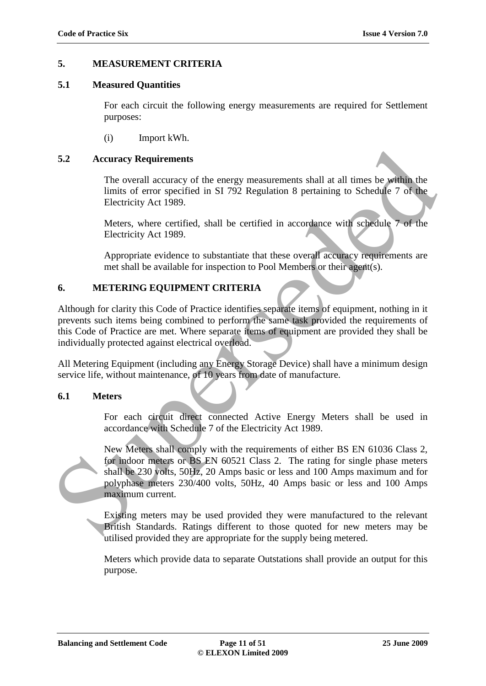### **5. MEASUREMENT CRITERIA**

#### **5.1 Measured Quantities**

For each circuit the following energy measurements are required for Settlement purposes:

(i) Import kWh.

#### **5.2 Accuracy Requirements**

The overall accuracy of the energy measurements shall at all times be within the limits of error specified in SI 792 Regulation 8 pertaining to Schedule 7 of the Electricity Act 1989.

Meters, where certified, shall be certified in accordance with schedule 7 of the Electricity Act 1989.

Appropriate evidence to substantiate that these overall accuracy requirements are met shall be available for inspection to Pool Members or their agent(s).

#### **6. METERING EQUIPMENT CRITERIA**

Although for clarity this Code of Practice identifies separate items of equipment, nothing in it prevents such items being combined to perform the same task provided the requirements of this Code of Practice are met. Where separate items of equipment are provided they shall be individually protected against electrical overload.

All Metering Equipment (including any Energy Storage Device) shall have a minimum design service life, without maintenance, of 10 years from date of manufacture.

#### **6.1 Meters**

For each circuit direct connected Active Energy Meters shall be used in accordance with Schedule 7 of the Electricity Act 1989.

New Meters shall comply with the requirements of either BS EN 61036 Class 2, for indoor meters or BS EN 60521 Class 2. The rating for single phase meters shall be 230 volts, 50Hz, 20 Amps basic or less and 100 Amps maximum and for polyphase meters 230/400 volts, 50Hz, 40 Amps basic or less and 100 Amps maximum current. 5.2 Accuracy Requirements<br>
The overall accuracy of the energy measurements shall at all times be within the<br>
limits of error specified in SI 792 Regulation 8 pertuining to Schedule 7 of the<br>
Electricity Act 1989.<br>
Meters,

Existing meters may be used provided they were manufactured to the relevant British Standards. Ratings different to those quoted for new meters may be utilised provided they are appropriate for the supply being metered.

Meters which provide data to separate Outstations shall provide an output for this purpose.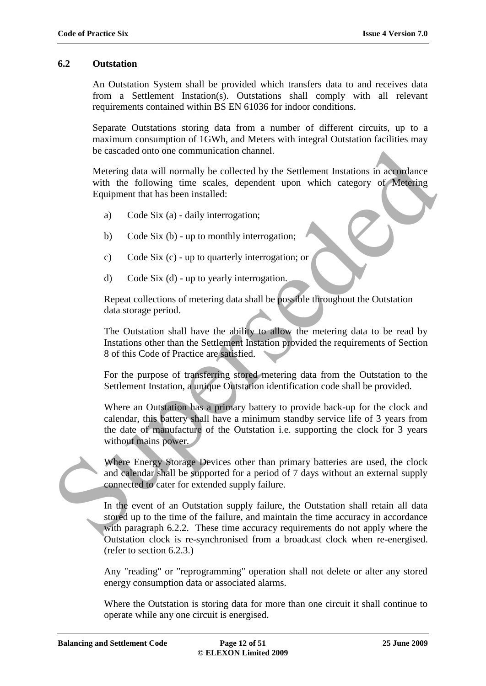#### **6.2 Outstation**

An Outstation System shall be provided which transfers data to and receives data from a Settlement Instation(s). Outstations shall comply with all relevant requirements contained within BS EN 61036 for indoor conditions.

Separate Outstations storing data from a number of different circuits, up to a maximum consumption of 1GWh, and Meters with integral Outstation facilities may be cascaded onto one communication channel.

Metering data will normally be collected by the Settlement Instations in accordance with the following time scales, dependent upon which category of Metering Equipment that has been installed:

- a) Code Six (a) daily interrogation;
- b) Code Six (b) up to monthly interrogation;
- c) Code Six (c) up to quarterly interrogation; or
- d) Code Six (d) up to yearly interrogation.

Repeat collections of metering data shall be possible throughout the Outstation data storage period.

The Outstation shall have the ability to allow the metering data to be read by Instations other than the Settlement Instation provided the requirements of Section 8 of this Code of Practice are satisfied.

For the purpose of transferring stored metering data from the Outstation to the Settlement Instation, a unique Outstation identification code shall be provided.

Where an Outstation has a primary battery to provide back-up for the clock and calendar, this battery shall have a minimum standby service life of 3 years from the date of manufacture of the Outstation i.e. supporting the clock for 3 years without mains power. be eascaded onto one communication channel.<br>
Metering data will normally be collected by the Settlement Instations in accordance<br>
with the following time scales, dependent upon which category of Metering<br>
Faultment that ha

Where Energy Storage Devices other than primary batteries are used, the clock and calendar shall be supported for a period of 7 days without an external supply connected to cater for extended supply failure.

In the event of an Outstation supply failure, the Outstation shall retain all data stored up to the time of the failure, and maintain the time accuracy in accordance with paragraph 6.2.2. These time accuracy requirements do not apply where the Outstation clock is re-synchronised from a broadcast clock when re-energised. (refer to section 6.2.3.)

Any "reading" or "reprogramming" operation shall not delete or alter any stored energy consumption data or associated alarms.

Where the Outstation is storing data for more than one circuit it shall continue to operate while any one circuit is energised.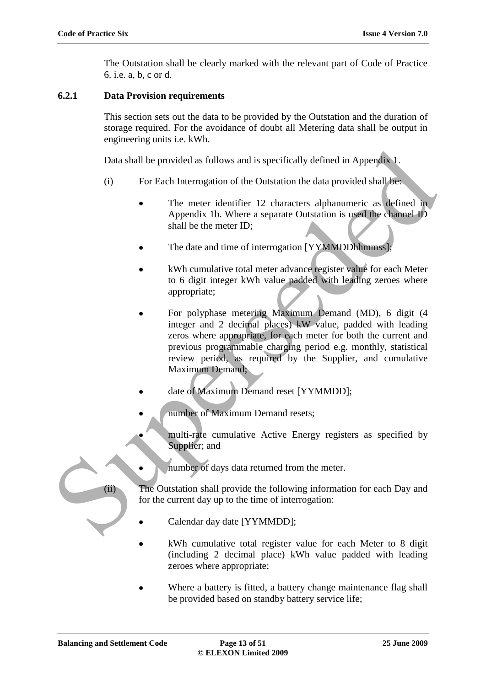The Outstation shall be clearly marked with the relevant part of Code of Practice 6. i.e. a, b, c or d.

# **6.2.1 Data Provision requirements**

This section sets out the data to be provided by the Outstation and the duration of storage required. For the avoidance of doubt all Metering data shall be output in engineering units i.e. kWh.

Data shall be provided as follows and is specifically defined in Appendix 1.

- (i) For Each Interrogation of the Outstation the data provided shall be:
	- The meter identifier 12 characters alphanumeric as defined in Appendix 1b. Where a separate Outstation is used the channel ID shall be the meter ID;
	- The date and time of interrogation [YYMMDDhhmmss];
	- kWh cumulative total meter advance register value for each Meter to 6 digit integer kWh value padded with leading zeroes where appropriate;
- For polyphase metering Maximum Demand (MD), 6 digit (4 integer and 2 decimal places) kW value, padded with leading zeros where appropriate, for each meter for both the current and previous programmable charging period e.g. monthly, statistical review period, as required by the Supplier, and cumulative Maximum Demand; Data shall be provided as follows and is specifically defined in Appendix 1.<br>
For Each Interrogation of the Outstation the data provided shall best<br>
The meter identifier 12 characters alphanumeric as defined in<br>
Appendix 1
	- date of Maximum Demand reset [YYMMDD];
	- number of Maximum Demand resets;
	- multi-rate cumulative Active Energy registers as specified by Supplier; and
	- number of days data returned from the meter.

(ii) The Outstation shall provide the following information for each Day and for the current day up to the time of interrogation:

- Calendar day date [YYMMDD];
- kWh cumulative total register value for each Meter to 8 digit (including 2 decimal place) kWh value padded with leading zeroes where appropriate;
- Where a battery is fitted, a battery change maintenance flag shall be provided based on standby battery service life;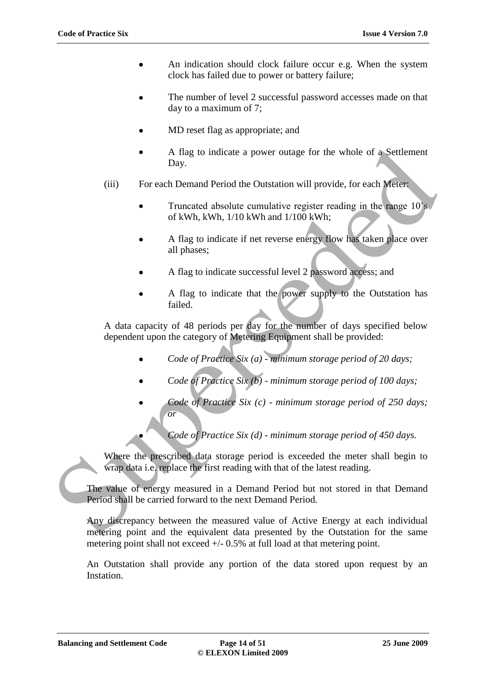- An indication should clock failure occur e.g. When the system  $\bullet$ clock has failed due to power or battery failure;
- The number of level 2 successful password accesses made on that day to a maximum of 7;
- MD reset flag as appropriate; and
- A flag to indicate a power outage for the whole of a Settlement Day.
- (iii) For each Demand Period the Outstation will provide, for each Meter:
	- Truncated absolute cumulative register reading in the range 10's of kWh, kWh, 1/10 kWh and 1/100 kWh;
	- A flag to indicate if net reverse energy flow has taken place over all phases;
	- A flag to indicate successful level 2 password access; and
	- A flag to indicate that the power supply to the Outstation has failed.

A data capacity of 48 periods per day for the number of days specified below dependent upon the category of Metering Equipment shall be provided:

- *Code of Practice Six (a) - minimum storage period of 20 days;*
- *Code of Practice Six (b) - minimum storage period of 100 days;*
- *Code of Practice Six (c) - minimum storage period of 250 days; or*
	- *Code of Practice Six (d) - minimum storage period of 450 days.*

Where the prescribed data storage period is exceeded the meter shall begin to wrap data i.e. replace the first reading with that of the latest reading.

The value of energy measured in a Demand Period but not stored in that Demand Period shall be carried forward to the next Demand Period. A flag to indicate a power outage for the whole of a Settlement<br>
(iii) For each Demand Period the Outstation will provide, for each Meter<br>
Truncated absolute cumulative register reading in the range 10's<br>
of kWh, kWh, 1/1

Any discrepancy between the measured value of Active Energy at each individual metering point and the equivalent data presented by the Outstation for the same metering point shall not exceed  $+/- 0.5\%$  at full load at that metering point.

An Outstation shall provide any portion of the data stored upon request by an Instation.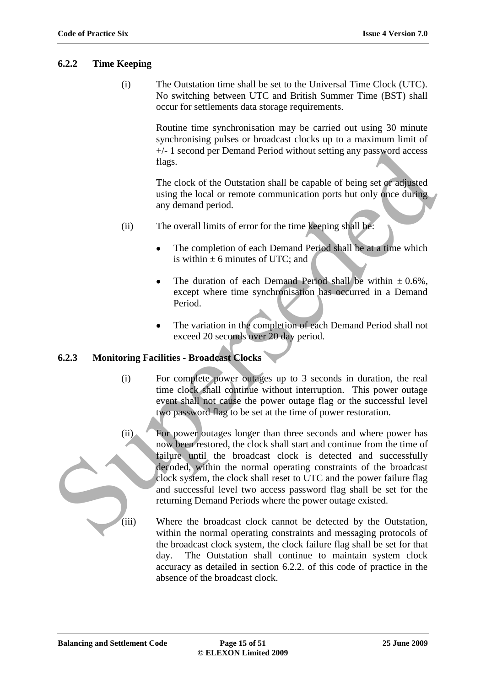# **6.2.2 Time Keeping**

(i) The Outstation time shall be set to the Universal Time Clock (UTC). No switching between UTC and British Summer Time (BST) shall occur for settlements data storage requirements.

> Routine time synchronisation may be carried out using 30 minute synchronising pulses or broadcast clocks up to a maximum limit of +/- 1 second per Demand Period without setting any password access flags.

The clock of the Outstation shall be capable of being set or adjusted using the local or remote communication ports but only once during any demand period.

- (ii) The overall limits of error for the time keeping shall be:
	- The completion of each Demand Period shall be at a time which is within  $\pm$  6 minutes of UTC; and
	- The duration of each Demand Period shall be within  $\pm 0.6\%$ . except where time synchronisation has occurred in a Demand Period.
	- The variation in the completion of each Demand Period shall not exceed 20 seconds over 20 day period.

#### **6.2.3 Monitoring Facilities - Broadcast Clocks**

- (i) For complete power outages up to 3 seconds in duration, the real time clock shall continue without interruption. This power outage event shall not cause the power outage flag or the successful level two password flag to be set at the time of power restoration.
- (ii) For power outages longer than three seconds and where power has now been restored, the clock shall start and continue from the time of failure until the broadcast clock is detected and successfully decoded, within the normal operating constraints of the broadcast clock system, the clock shall reset to UTC and the power failure flag and successful level two access password flag shall be set for the returning Demand Periods where the power outage existed. 4-1 second per Demand Period without setting any password access<br>
The clock of the Outstation shall be capable of being set of adjusted<br>
using the local or centure communication ports but only once during<br>
any demand perio
	- (iii) Where the broadcast clock cannot be detected by the Outstation, within the normal operating constraints and messaging protocols of the broadcast clock system, the clock failure flag shall be set for that day. The Outstation shall continue to maintain system clock accuracy as detailed in section 6.2.2. of this code of practice in the absence of the broadcast clock.

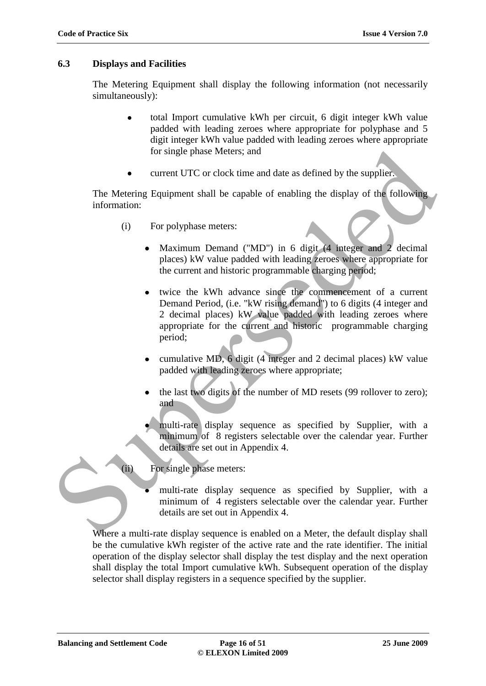### **6.3 Displays and Facilities**

The Metering Equipment shall display the following information (not necessarily simultaneously):

- total Import cumulative kWh per circuit, 6 digit integer kWh value padded with leading zeroes where appropriate for polyphase and 5 digit integer kWh value padded with leading zeroes where appropriate for single phase Meters; and
- current UTC or clock time and date as defined by the supplier.

The Metering Equipment shall be capable of enabling the display of the following information:

- (i) For polyphase meters:
	- Maximum Demand ("MD") in 6 digit (4 integer and 2 decimal places) kW value padded with leading zeroes where appropriate for the current and historic programmable charging period;
- twice the kWh advance since the commencement of a current Demand Period, (i.e. "kW rising demand") to 6 digits (4 integer and 2 decimal places) kW value padded with leading zeroes where appropriate for the current and historic programmable charging period; for single phase Meters; and<br>
external UTC or clock time and date as defined by the supplier.<br>
The Metering Equipment shall be capable of enabling the display of the following<br>
information:<br>
(i) For polyphase meters:<br>
Maxi
	- cumulative MD, 6 digit (4 integer and 2 decimal places) kW value padded with leading zeroes where appropriate;
	- the last two digits of the number of MD resets (99 rollover to zero); and
	- multi-rate display sequence as specified by Supplier, with a minimum of 8 registers selectable over the calendar year. Further details are set out in Appendix 4.
	- (ii) For single phase meters:
		- multi-rate display sequence as specified by Supplier, with a minimum of 4 registers selectable over the calendar year. Further details are set out in Appendix 4.

Where a multi-rate display sequence is enabled on a Meter, the default display shall be the cumulative kWh register of the active rate and the rate identifier. The initial operation of the display selector shall display the test display and the next operation shall display the total Import cumulative kWh. Subsequent operation of the display selector shall display registers in a sequence specified by the supplier.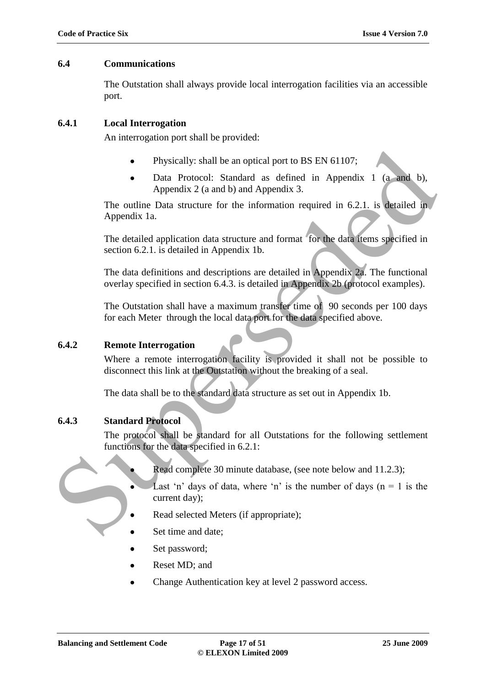### **6.4 Communications**

The Outstation shall always provide local interrogation facilities via an accessible port.

# **6.4.1 Local Interrogation**

An interrogation port shall be provided:

- Physically: shall be an optical port to BS EN 61107;
- Data Protocol: Standard as defined in Appendix 1 (a and b), Appendix 2 (a and b) and Appendix 3.

The outline Data structure for the information required in 6.2.1. is detailed in Appendix 1a.

The detailed application data structure and format for the data items specified in section 6.2.1. is detailed in Appendix 1b. • Physically: shall be an optical port to BS EN 61107:<br>
• Data Protocol: Standard as defined in Appendix 1 (a and b),<br>
Appendix 2 (a and b) and Appendix 3.<br>
The outline Data structure for the information required in 62.1,

The data definitions and descriptions are detailed in Appendix 2a. The functional overlay specified in section 6.4.3. is detailed in Appendix 2b (protocol examples).

The Outstation shall have a maximum transfer time of 90 seconds per 100 days for each Meter through the local data port for the data specified above.

# **6.4.2 Remote Interrogation**

Where a remote interrogation facility is provided it shall not be possible to disconnect this link at the Outstation without the breaking of a seal.

The data shall be to the standard data structure as set out in Appendix 1b.

# **6.4.3 Standard Protocol**

The protocol shall be standard for all Outstations for the following settlement functions for the data specified in 6.2.1:

- Read complete 30 minute database, (see note below and 11.2.3);
- Last 'n' days of data, where 'n' is the number of days ( $n = 1$  is the current day);
- Read selected Meters (if appropriate);
- Set time and date;
- Set password;
- Reset MD; and
- Change Authentication key at level 2 password access.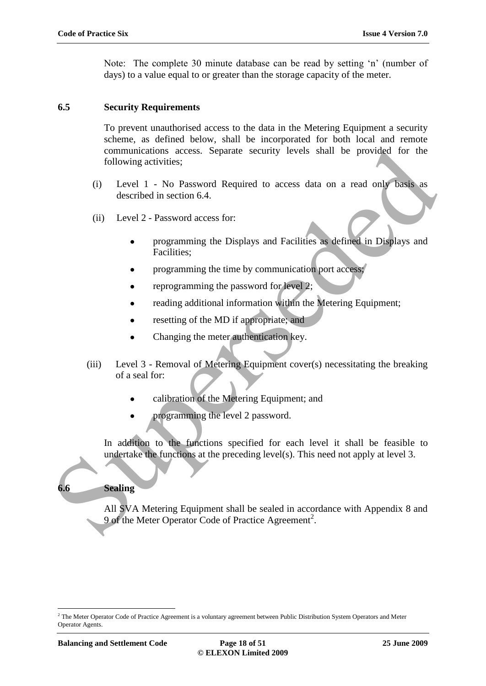Note: The complete 30 minute database can be read by setting "n" (number of days) to a value equal to or greater than the storage capacity of the meter.

#### **6.5 Security Requirements**

To prevent unauthorised access to the data in the Metering Equipment a security scheme, as defined below, shall be incorporated for both local and remote communications access. Separate security levels shall be provided for the following activities;

- (i) Level 1 No Password Required to access data on a read only basis as described in section 6.4.
- (ii) Level 2 Password access for:
	- programming the Displays and Facilities as defined in Displays and Facilities;
	- programming the time by communication port access;
	- reprogramming the password for level 2;
	- reading additional information within the Metering Equipment;
	- resetting of the MD if appropriate; and
	- Changing the meter authentication key.
- (iii) Level 3 Removal of Metering Equipment cover(s) necessitating the breaking of a seal for: communications access. Separate security levels shall be provided for the<br>
following activities;<br>
(i) Level 1 - No Password Required to access data on a read only based as<br>
described in section 6.4.<br>
(ii) Level 2 - Passwor
	- calibration of the Metering Equipment; and
	- programming the level 2 password.

In addition to the functions specified for each level it shall be feasible to undertake the functions at the preceding level(s). This need not apply at level 3.

#### **6.6 Sealing**

All SVA Metering Equipment shall be sealed in accordance with Appendix 8 and 9 of the Meter Operator Code of Practice Agreement<sup>2</sup>.

 $\overline{a}$ 

<sup>&</sup>lt;sup>2</sup> The Meter Operator Code of Practice Agreement is a voluntary agreement between Public Distribution System Operators and Meter Operator Agents.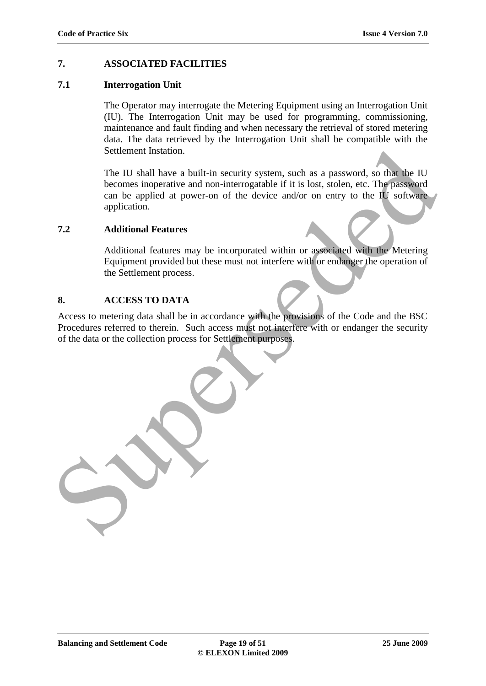# **7. ASSOCIATED FACILITIES**

#### **7.1 Interrogation Unit**

The Operator may interrogate the Metering Equipment using an Interrogation Unit (IU). The Interrogation Unit may be used for programming*,* commissioning, maintenance and fault finding and when necessary the retrieval of stored metering data. The data retrieved by the Interrogation Unit shall be compatible with the Settlement Instation.

The IU shall have a built-in security system, such as a password, so that the IU becomes inoperative and non-interrogatable if it is lost, stolen, etc. The password can be applied at power-on of the device and/or on entry to the IU software application. Settlement Instation.<br>
The IU shall have a built-in security system, such as a password, so that the IU<br>
becomes inoperative and non-interrogatable if it is lost, stolen, etc. The password<br>
can be applied at power-on of th

#### **7.2 Additional Features**

Additional features may be incorporated within or associated with the Metering Equipment provided but these must not interfere with or endanger the operation of the Settlement process.

#### **8. ACCESS TO DATA**

Access to metering data shall be in accordance with the provisions of the Code and the BSC Procedures referred to therein. Such access must not interfere with or endanger the security of the data or the collection process for Settlement purposes.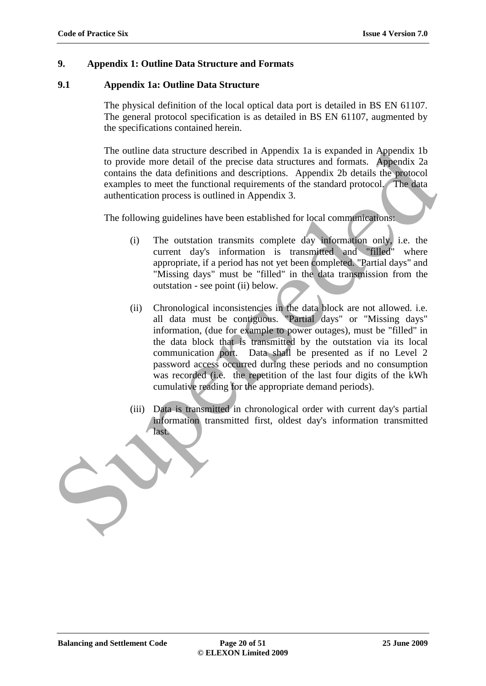# **9. Appendix 1: Outline Data Structure and Formats**

# **9.1 Appendix 1a: Outline Data Structure**

The physical definition of the local optical data port is detailed in BS EN 61107. The general protocol specification is as detailed in BS EN 61107, augmented by the specifications contained herein.

The outline data structure described in Appendix 1a is expanded in Appendix 1b to provide more detail of the precise data structures and formats. Appendix 2a contains the data definitions and descriptions. Appendix 2b details the protocol examples to meet the functional requirements of the standard protocol. The data authentication process is outlined in Appendix 3.

The following guidelines have been established for local communications:

- (i) The outstation transmits complete day information only, i.e. the current day's information is transmitted and "filled" where appropriate, if a period has not yet been completed. "Partial days" and "Missing days" must be "filled" in the data transmission from the outstation - see point (ii) below.
- (ii) Chronological inconsistencies in the data block are not allowed. i.e. all data must be contiguous. "Partial days" or "Missing days" information, (due for example to power outages), must be "filled" in the data block that is transmitted by the outstation via its local communication port. Data shall be presented as if no Level 2 password access occurred during these periods and no consumption was recorded (i.e. the repetition of the last four digits of the kWh cumulative reading for the appropriate demand periods). The outlier data sincture rescribed in Appendix Ia is expanded in Appendix 2.<br>
to provide more detail of the precise data structures and formats. Appendix 2.a<br>
contains the data definitions and descriptions. Appendix 22<br>
	- (iii) Data is transmitted in chronological order with current day's partial information transmitted first, oldest day's information transmitted last.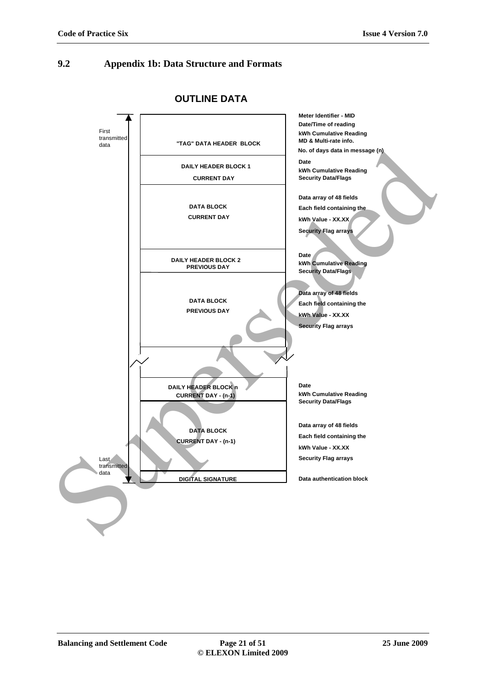#### **9.2 Appendix 1b: Data Structure and Formats**



**OUTLINE DATA**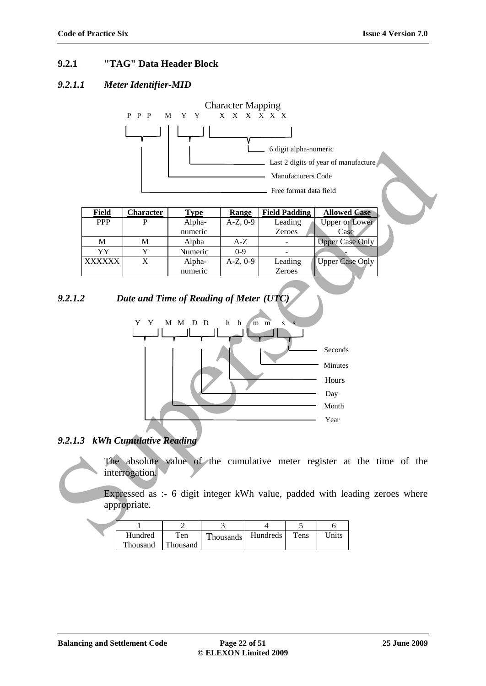# **9.2.1 "TAG" Data Header Block**

# *9.2.1.1 Meter Identifier-MID*



# *9.2.1.2 Date and Time of Reading of Meter (UTC)*



# *9.2.1.3 kWh Cumulative Reading*

The absolute value of the cumulative meter register at the time of the interrogation.

Expressed as :- 6 digit integer kWh value, padded with leading zeroes where appropriate.

| Hundred  | Ten      | Thousands | Hundreds | Tens | Jnits |
|----------|----------|-----------|----------|------|-------|
| Thousand | Thousand |           |          |      |       |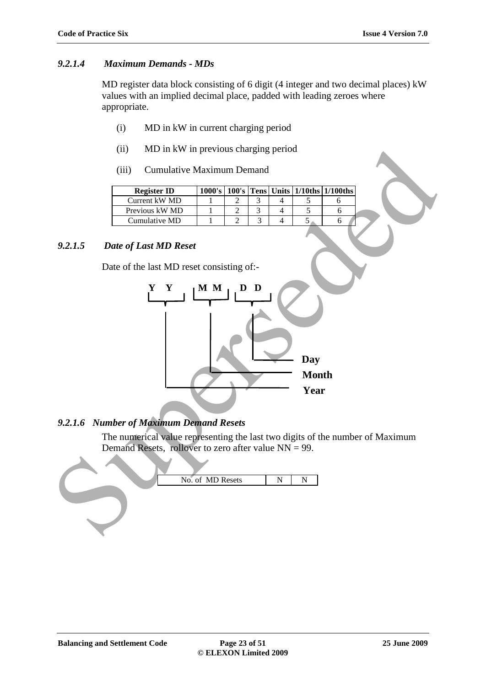# *9.2.1.4 Maximum Demands - MDs*

MD register data block consisting of 6 digit (4 integer and two decimal places) kW values with an implied decimal place, padded with leading zeroes where appropriate.

- (i) MD in kW in current charging period
- (ii) MD in kW in previous charging period
- (iii) Cumulative Maximum Demand

| <b>Register ID</b> |  |  | $1000's$   100's   Tens   Units   1/10ths   1/100ths |
|--------------------|--|--|------------------------------------------------------|
| Current kW MD      |  |  |                                                      |
| Previous kW MD     |  |  |                                                      |
| Cumulative MD      |  |  |                                                      |

# *9.2.1.5 Date of Last MD Reset*

Date of the last MD reset consisting of:-



# *9.2.1.6 Number of Maximum Demand Resets*

The numerical value representing the last two digits of the number of Maximum Demand Resets, rollover to zero after value NN = 99.

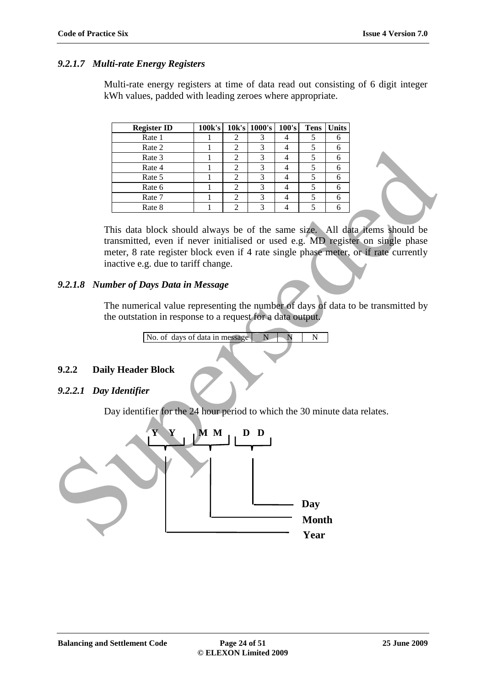#### *9.2.1.7 Multi-rate Energy Registers*

Multi-rate energy registers at time of data read out consisting of 6 digit integer kWh values, padded with leading zeroes where appropriate.

| <b>Register ID</b> | 100k's | $10k's$ 1000's 100's | <b>Tens</b> | <b>Units</b> |
|--------------------|--------|----------------------|-------------|--------------|
| Rate 1             |        |                      |             |              |
| Rate 2             |        | 3                    |             |              |
| Rate 3             |        | 3                    |             |              |
| Rate 4             |        |                      |             |              |
| Rate 5             |        |                      |             |              |
| Rate 6             |        |                      |             |              |
| Rate 7             |        |                      |             |              |
| Rate 8             |        | 3                    |             |              |

This data block should always be of the same size. All data items should be transmitted, even if never initialised or used e.g. MD register on single phase meter, 8 rate register block even if 4 rate single phase meter, or if rate currently inactive e.g. due to tariff change.

# *9.2.1.8 Number of Days Data in Message*

The numerical value representing the number of days of data to be transmitted by the outstation in response to a request for a data output.

No. of days of data in message  $N \ N$ 

# **9.2.2 Daily Header Block**

#### *9.2.2.1 Day Identifier*

Day identifier for the 24 hour period to which the 30 minute data relates.

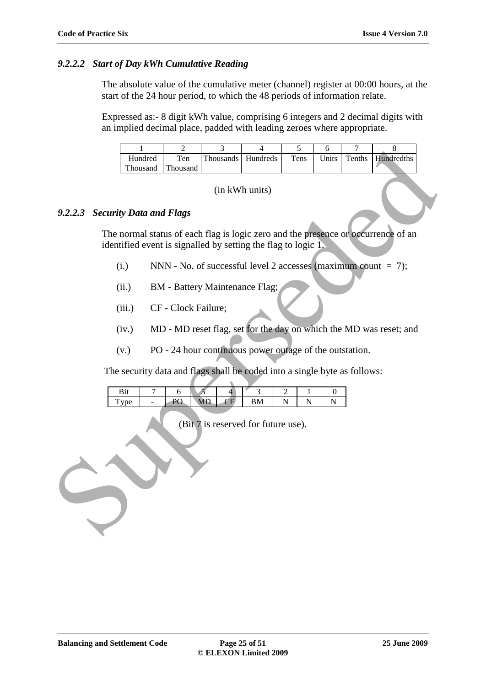#### *9.2.2.2 Start of Day kWh Cumulative Reading*

The absolute value of the cumulative meter (channel) register at 00:00 hours, at the start of the 24 hour period, to which the 48 periods of information relate.

Expressed as:- 8 digit kWh value, comprising 6 integers and 2 decimal digits with an implied decimal place, padded with leading zeroes where appropriate.

|                                                                                                                                                    | $\mathbf{1}$                                                              | $\overline{c}$      | 3                                     | $\overline{4}$                                                   | 5                | 6        | $\boldsymbol{7}$ | $\,$ 8 $\,$                                                        |  |  |
|----------------------------------------------------------------------------------------------------------------------------------------------------|---------------------------------------------------------------------------|---------------------|---------------------------------------|------------------------------------------------------------------|------------------|----------|------------------|--------------------------------------------------------------------|--|--|
|                                                                                                                                                    | Hundred                                                                   | Ten                 | Thousands                             | Hundreds                                                         | Tens             | Units    | Tenths           | Hundredths                                                         |  |  |
|                                                                                                                                                    | Thousand                                                                  | Thousand            |                                       |                                                                  |                  |          |                  |                                                                    |  |  |
| (in kWh units)<br><b>Security Data and Flags</b><br>9.2.2.3                                                                                        |                                                                           |                     |                                       |                                                                  |                  |          |                  |                                                                    |  |  |
|                                                                                                                                                    |                                                                           |                     |                                       |                                                                  |                  |          |                  |                                                                    |  |  |
| The normal status of each flag is logic zero and the presence or occurrence of an<br>identified event is signalled by setting the flag to logic 1. |                                                                           |                     |                                       |                                                                  |                  |          |                  |                                                                    |  |  |
|                                                                                                                                                    | (i.)                                                                      |                     |                                       | NNN - No. of successful level 2 accesses (maximum count $= 7$ ); |                  |          |                  |                                                                    |  |  |
|                                                                                                                                                    | (ii.)                                                                     |                     | <b>BM</b> - Battery Maintenance Flag; |                                                                  |                  |          |                  |                                                                    |  |  |
|                                                                                                                                                    | (iii.)                                                                    | CF - Clock Failure; |                                       |                                                                  |                  |          |                  |                                                                    |  |  |
|                                                                                                                                                    | (iv.)                                                                     |                     |                                       |                                                                  |                  |          |                  | MD - MD reset flag, set for the day on which the MD was reset; and |  |  |
|                                                                                                                                                    | (v.)                                                                      |                     |                                       | PO - 24 hour continuous power outage of the outstation.          |                  |          |                  |                                                                    |  |  |
|                                                                                                                                                    | The security data and flags shall be coded into a single byte as follows: |                     |                                       |                                                                  |                  |          |                  |                                                                    |  |  |
|                                                                                                                                                    | Bit<br>7                                                                  | 6                   | 5<br>$\overline{4}$                   | 3                                                                | 2<br>1           | $\theta$ |                  |                                                                    |  |  |
|                                                                                                                                                    | ÷,                                                                        | PO                  | CF                                    | <b>BM</b>                                                        | $\mathbf N$<br>N | N        |                  |                                                                    |  |  |
| Type<br><b>MD</b><br>(Bit 7 is reserved for future use).                                                                                           |                                                                           |                     |                                       |                                                                  |                  |          |                  |                                                                    |  |  |

#### (in kWh units)

#### *9.2.2.3 Security Data and Flags*

- (i.) NNN No. of successful level 2 accesses (maximum count  $= 7$ );
- (ii.) BM Battery Maintenance Flag;
- (iii.) CF Clock Failure;
- (iv.) MD MD reset flag, set for the day on which the MD was reset; and
- (v.) PO 24 hour continuous power outage of the outstation.

|  |   | $\prime$ F |     |  |  |
|--|---|------------|-----|--|--|
|  | ー |            | N.Z |  |  |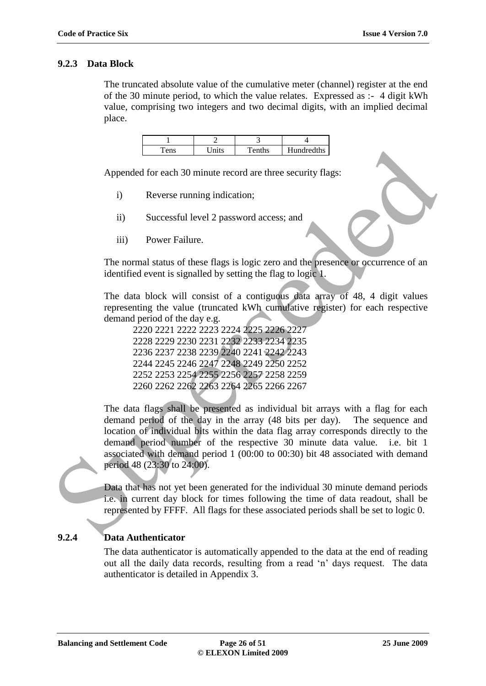# **9.2.3 Data Block**

The truncated absolute value of the cumulative meter (channel) register at the end of the 30 minute period, to which the value relates. Expressed as :- 4 digit kWh value, comprising two integers and two decimal digits, with an implied decimal place.

| $\mathbf{a}$ | nite | $T$ enths | <b>Hundredths</b> |
|--------------|------|-----------|-------------------|

Appended for each 30 minute record are three security flags:

- i) Reverse running indication;
- ii) Successful level 2 password access; and
- iii) Power Failure.

The normal status of these flags is logic zero and the presence or occurrence of an identified event is signalled by setting the flag to logic 1.

The data block will consist of a contiguous data array of 48, 4 digit values representing the value (truncated kWh cumulative register) for each respective demand period of the day e.g.

2220 2221 2222 2223 2224 2225 2226 2227 2228 2229 2230 2231 2232 2233 2234 2235 2236 2237 2238 2239 2240 2241 2242 2243 2244 2245 2246 2247 2248 2249 2250 2252 2252 2253 2254 2255 2256 2257 2258 2259 2260 2262 2262 2263 2264 2265 2266 2267

The data flags shall be presented as individual bit arrays with a flag for each demand period of the day in the array (48 bits per day). The sequence and location of individual bits within the data flag array corresponds directly to the demand period number of the respective 30 minute data value. i.e. bit 1 associated with demand period 1 (00:00 to 00:30) bit 48 associated with demand period 48 (23:30 to 24:00). Tens Units I Fembio I Hambeddta <br>
Appended for each 30 minute record are three security flags:<br>
i) Reverse running indication;<br>
ii) Successful level 2 password access; and<br>
iii) Power Failure.<br>
The normal status of these

Data that has not yet been generated for the individual 30 minute demand periods i.e. in current day block for times following the time of data readout, shall be represented by FFFF. All flags for these associated periods shall be set to logic 0.

# **9.2.4 Data Authenticator**

The data authenticator is automatically appended to the data at the end of reading out all the daily data records, resulting from a read "n" days request. The data authenticator is detailed in Appendix 3.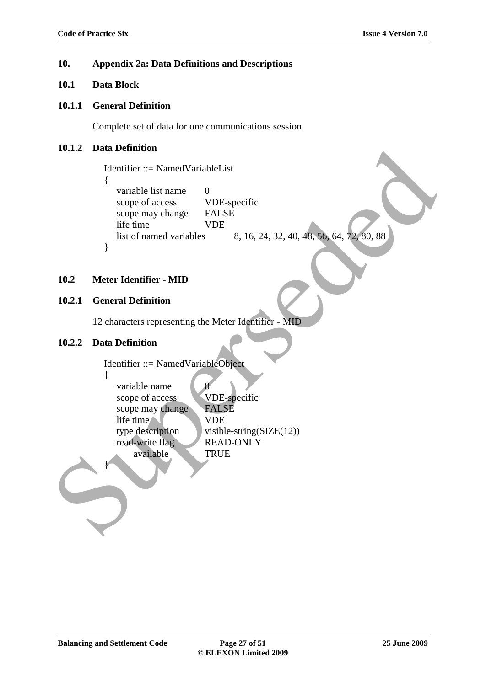#### **10. Appendix 2a: Data Definitions and Descriptions**

# **10.1 Data Block**

#### **10.1.1 General Definition**

Complete set of data for one communications session

# **10.1.2 Data Definition**

```
Identifier ::= NamedVariableList
\left\{ \right.variable list name 0
  scope of access VDE-specific
  scope may change FALSE
  life time VDE
  list of named variables 8, 16, 24, 32, 40, 48, 56, 64, 72, 80, 88
}
```
#### **10.2 Meter Identifier - MID**

# **10.2.1 General Definition**

12 characters representing the Meter Identifier - MID

### **10.2.2 Data Definition**

```
Identifier ::= NamedVariableObject
                {
                    variable name
                    scope of access VDE-specific
                    scope may change FALSE
                    life time VDE
                    type description visible-string(SLE(12))
                    read-write flag READ-ONLY
                          available TRUE
                }
10.12 Data Definition<br>
leadinfier: \frac{1}{2} Supersed VDE-specific<br>
(some of access CDE-specific<br>
scope of access CDE-specific<br>
scope of access CDE-specific<br>
life time<br>
life time<br>
life time<br>
life time<br>
life time<br>
life tim
```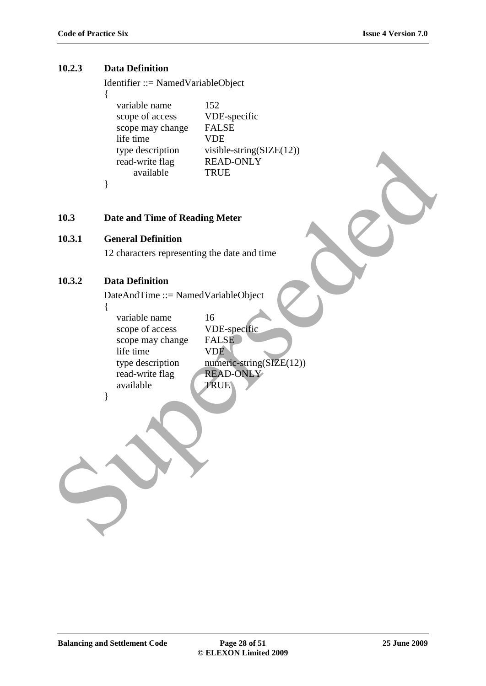# **10.2.3 Data Definition**

{

Identifier ::= NamedVariableObject

| variable name    | 152                          |
|------------------|------------------------------|
| scope of access  | VDE-specific                 |
| scope may change | <b>FALSE</b>                 |
| life time        | <b>VDE</b>                   |
| type description | visible-string( $SIZE(12)$ ) |
| read-write flag  | <b>READ-ONLY</b>             |
| available        | TRUE                         |
|                  |                              |

# **10.3 Date and Time of Reading Meter**

# **10.3.1 General Definition**

# **10.3.2 Data Definition**

|        | type description                             | visible-string( $SIZE(12)$ )    |  |
|--------|----------------------------------------------|---------------------------------|--|
|        | read-write flag<br>available                 | <b>READ-ONLY</b><br><b>TRUE</b> |  |
|        | ∤                                            |                                 |  |
|        |                                              |                                 |  |
|        |                                              |                                 |  |
| 10.3   | Date and Time of Reading Meter               |                                 |  |
| 10.3.1 | <b>General Definition</b>                    |                                 |  |
|        | 12 characters representing the date and time |                                 |  |
|        |                                              |                                 |  |
| 10.3.2 | <b>Data Definition</b>                       |                                 |  |
|        | DateAndTime ::= NamedVariableObject          |                                 |  |
|        | {                                            |                                 |  |
|        | variable name<br>scope of access             | 16<br>VDE-specific              |  |
|        | scope may change                             | <b>FALSE</b>                    |  |
|        | life time                                    | <b>VDE</b>                      |  |
|        | type description                             | numeric-string(SIZE(12))        |  |
|        | read-write flag                              | <b>READ-ONLY</b>                |  |
|        | available<br>∤                               | <b>TRUE</b>                     |  |
|        |                                              |                                 |  |
|        |                                              |                                 |  |
|        |                                              |                                 |  |
|        |                                              |                                 |  |
|        |                                              |                                 |  |
|        |                                              |                                 |  |
|        |                                              |                                 |  |
|        |                                              |                                 |  |
|        |                                              |                                 |  |
|        |                                              |                                 |  |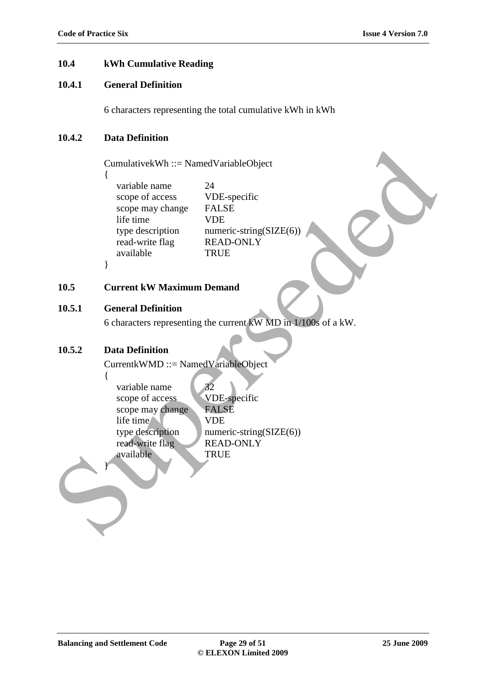# **10.4 kWh Cumulative Reading**

# **10.4.1 General Definition**

6 characters representing the total cumulative kWh in kWh

#### **10.4.2 Data Definition**

{

}

CumulativekWh ::= NamedVariableObject

variable name 24 scope of access VDE-specific scope may change FALSE life time VDE type description numeric-string $(SIZE(6))$ read-write flag READ-ONLY available TRUE

# **10.5 Current kW Maximum Demand**

# **10.5.1 General Definition**

6 characters representing the current kW MD in 1/100s of a kW.

## **10.5.2 Data Definition**

CurrentkWMD ::= NamedVariableObject

{ variable name 32 scope of access VDE-specific scope may change FALSE life time VDE type description numeric-string( $SLZE(6)$ ) read-write flag READ-ONLY available TRUE } CumulativekWh :::= Named VariableObject<br>
(variable name<br>
scope of access<br>
scope of access<br>
scope in a contract string (SIZE(6)<br>
if the time<br>
type description<br>
read write flag<br>
read with a READ-ONLY<br>
read with a READ-ONLY<br>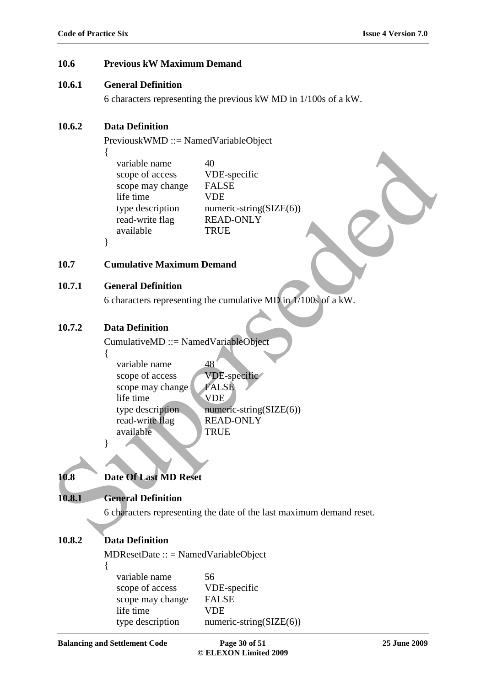#### **10.6 Previous kW Maximum Demand**

#### **10.6.1 General Definition**

6 characters representing the previous kW MD in 1/100s of a kW.

# **10.6.2 Data Definition**

PreviouskWMD ::= NamedVariableObject

|        | {<br>40<br>variable name<br>scope of access<br>VDE-specific<br>scope may change<br><b>FALSE</b><br>life time<br><b>VDE</b><br>type description<br>numeric-string( $SIZE(6)$ )<br><b>READ-ONLY</b><br>read-write flag<br>available<br><b>TRUE</b><br>ł |
|--------|-------------------------------------------------------------------------------------------------------------------------------------------------------------------------------------------------------------------------------------------------------|
| 10.7   | <b>Cumulative Maximum Demand</b>                                                                                                                                                                                                                      |
| 10.7.1 | <b>General Definition</b>                                                                                                                                                                                                                             |
|        | 6 characters representing the cumulative MD in $1/100s$ of a kW.                                                                                                                                                                                      |
| 10.7.2 | <b>Data Definition</b><br>$CumulativeMD ::= NamedVariableObject$<br>₹                                                                                                                                                                                 |
|        | variable name<br>48<br>VDE-specific<br>scope of access<br><b>FALSE</b><br>scope may change<br>life time<br><b>VDE</b><br>type description<br>numeric-string(SIZE(6))<br>read-write flag<br><b>READ-ONLY</b><br>available<br><b>TRUE</b>               |
|        |                                                                                                                                                                                                                                                       |
| 10.8   | <b>Date Of Last MD Reset</b>                                                                                                                                                                                                                          |
| 10.8.1 | <b>General Definition</b>                                                                                                                                                                                                                             |
|        | 6 characters representing the date of the last maximum demand reset.                                                                                                                                                                                  |
|        |                                                                                                                                                                                                                                                       |

#### **10.7 Cumulative Maximum Demand**

#### **10.7.1 General Definition**

# **10.7.2 Data Definition**

| variable name    | 48                      |
|------------------|-------------------------|
| scope of access  | VDE-specific            |
| scope may change | <b>FALSE</b>            |
| life time        | <b>VDE</b>              |
| type description | numeric-string(SIZE(6)) |
| read-write flag  | <b>READ-ONLY</b>        |
| available        | <b>TRUE</b>             |

# **10.8 Date Of Last MD Reset**

# **10.8.1 General Definition**

# **10.8.2 Data Definition**

MDResetDate :: = NamedVariableObject

{

variable name 56 scope of access VDE-specific scope may change FALSE life time VDE type description numeric-string(SIZE(6))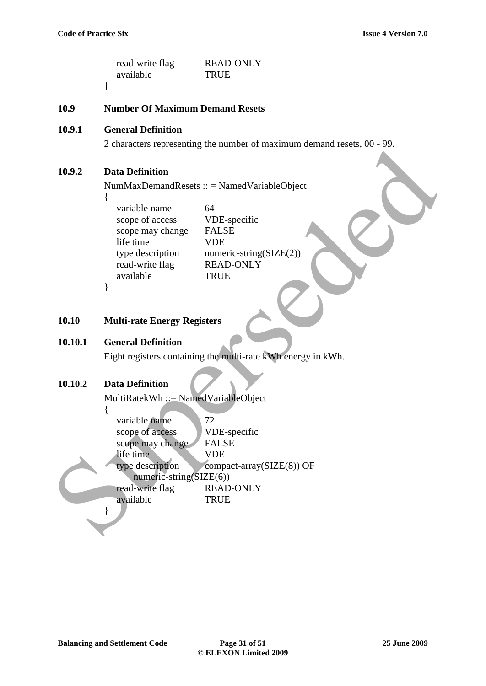|         | read-write flag<br>available               | <b>READ-ONLY</b><br><b>TRUE</b>                                         |
|---------|--------------------------------------------|-------------------------------------------------------------------------|
|         | ∤                                          |                                                                         |
| 10.9    | <b>Number Of Maximum Demand Resets</b>     |                                                                         |
| 10.9.1  | <b>General Definition</b>                  |                                                                         |
|         |                                            | 2 characters representing the number of maximum demand resets, 00 - 99. |
|         |                                            |                                                                         |
| 10.9.2  | <b>Data Definition</b>                     |                                                                         |
|         |                                            | $NumMaxDemandResets :: = NamedVariableObject$                           |
|         | ₹<br>variable name                         | 64                                                                      |
|         | scope of access                            | VDE-specific                                                            |
|         | scope may change                           | <b>FALSE</b>                                                            |
|         | life time<br>type description              | <b>VDE</b><br>$numeric\text{-}string(SIZE(2))$                          |
|         | read-write flag                            | <b>READ-ONLY</b>                                                        |
|         | available                                  | <b>TRUE</b>                                                             |
|         | }                                          |                                                                         |
|         |                                            |                                                                         |
| 10.10   | <b>Multi-rate Energy Registers</b>         |                                                                         |
| 10.10.1 | <b>General Definition</b>                  |                                                                         |
|         |                                            | Eight registers containing the multi-rate kWh energy in kWh.            |
|         |                                            |                                                                         |
| 10.10.2 | <b>Data Definition</b>                     |                                                                         |
|         | MultiRatekWh ::= NamedVariableObject       |                                                                         |
|         | ί                                          |                                                                         |
|         | variable name<br>scope of access           | 72<br>VDE-specific                                                      |
|         | scope may change                           | <b>FALSE</b>                                                            |
|         | life time                                  | <b>VDE</b>                                                              |
|         | type description                           | compact-array(SIZE(8)) OF                                               |
|         | numeric-string(SIZE(6))<br>read-write flag | <b>READ-ONLY</b>                                                        |
|         | available                                  | <b>TRUE</b>                                                             |
|         |                                            |                                                                         |
|         |                                            |                                                                         |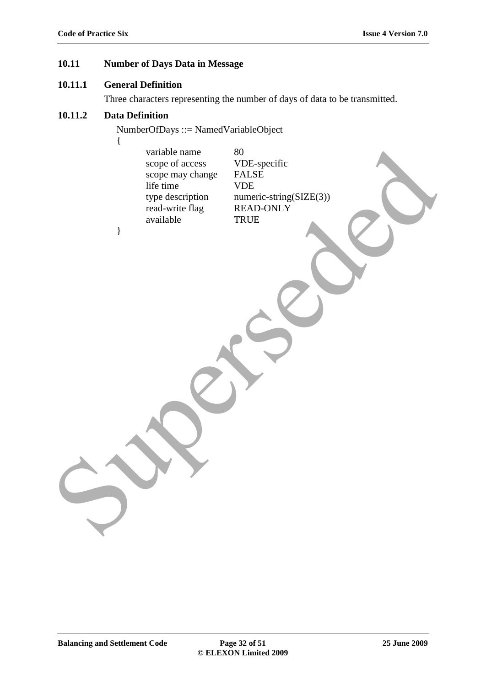# **10.11 Number of Days Data in Message**

#### **10.11.1 General Definition**

Three characters representing the number of days of data to be transmitted.

# **10.11.2 Data Definition**

NumberOfDays ::= NamedVariableObject

{ variable name 80 scope of access VDE-specific scope may change FALSE life time VDE type description numeric-string(SIZE(3)) read-write flag READ-ONLY available TRUE } write<br>ope may change<br>sope may change<br>supersed by DE-Specific<br>type description<br>and being the HCD MIX<br>and the HCD HCD HCD and the set of the set of the HCD<br>standing the HCD HCD HCD and the set of the standard of the standard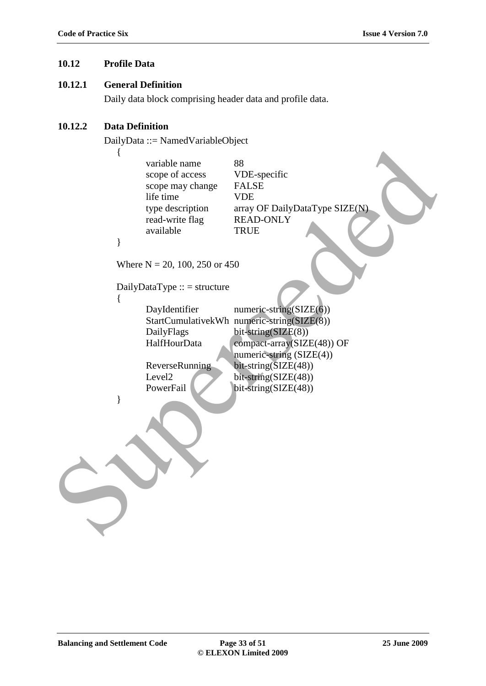# **10.12 Profile Data**

#### **10.12.1 General Definition**

Daily data block comprising header data and profile data.

#### **10.12.2 Data Definition**

DailyData ::= NamedVariableObject

{ variable name 88 scope of access VDE-specific scope may change FALSE life time VDE type description array OF DailyDataType SIZE(N) read-write flag READ-ONLY available TRUE } Where  $N = 20, 100, 250$  or 450  $DailyDataType :: = structure$ { DayIdentifier numeric-string(SIZE(6)) StartCumulativekWh numeric-string(SIZE(8)) DailyFlags bit-string(SIZE(8)) HalfHourData compact-array(SIZE(48)) OF numeric-string (SIZE(4)) ReverseRunning bit-string(SIZE(48)) Level2 bit-string(SIZE(48)) PowerFail bit-string(SIZE(48)) } variable name<br>
scope of access<br>
scope may change in FALSE<br>
if the time<br>
time description<br>
or a disc of the strength of the strength area with flag<br>
read-write flag<br>
read-write flag<br>
READ-ONLY<br>
available<br>
TRUE<br>
Where N = 2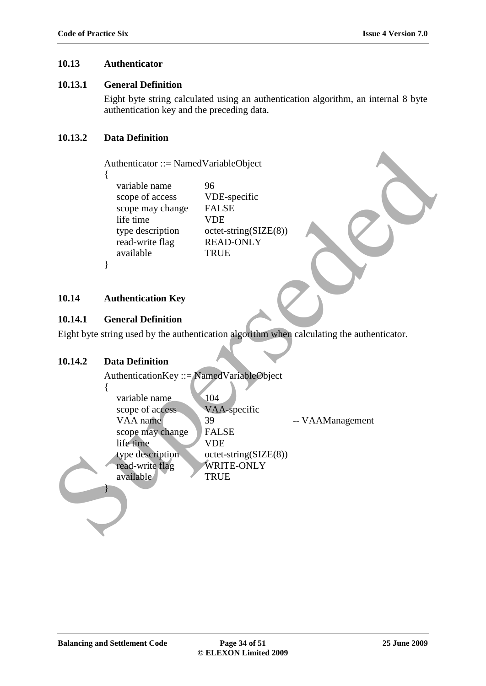# **10.13 Authenticator**

#### **10.13.1 General Definition**

Eight byte string calculated using an authentication algorithm, an internal 8 byte authentication key and the preceding data.

# **10.13.2 Data Definition**

```
variable name 96
scope of access VDE-specific
scope may change FALSE
life time VDE
read-write flag READ-ONLY
available TRUE
```
# **10.14 Authentication Key**

# **10.14.1 General Definition**

#### **10.14.2 Data Definition**

|         | Authenticator ::= NamedVariableObject<br>variable name<br>scope of access<br>scope may change<br>life time<br>type description<br>read-write flag<br>available | 96<br>VDE-specific<br><b>FALSE</b><br><b>VDE</b><br>$octet\text{-string}(SIZE(8))$<br><b>READ-ONLY</b><br><b>TRUE</b> |                                                                                            |
|---------|----------------------------------------------------------------------------------------------------------------------------------------------------------------|-----------------------------------------------------------------------------------------------------------------------|--------------------------------------------------------------------------------------------|
| 10.14   | <b>Authentication Key</b>                                                                                                                                      |                                                                                                                       |                                                                                            |
| 10.14.1 | <b>General Definition</b>                                                                                                                                      |                                                                                                                       |                                                                                            |
|         |                                                                                                                                                                |                                                                                                                       | Eight byte string used by the authentication algorithm when calculating the authenticator. |
|         |                                                                                                                                                                |                                                                                                                       |                                                                                            |
| 10.14.2 | <b>Data Definition</b>                                                                                                                                         |                                                                                                                       |                                                                                            |
|         | AuthenticationKey ::= NamedVariableObject                                                                                                                      |                                                                                                                       |                                                                                            |
|         | {                                                                                                                                                              |                                                                                                                       |                                                                                            |
|         | variable name                                                                                                                                                  | 104                                                                                                                   |                                                                                            |
|         | scope of access                                                                                                                                                | VAA-specific                                                                                                          |                                                                                            |
|         | VAA name                                                                                                                                                       | 39<br><b>FALSE</b>                                                                                                    | -- VAAManagement                                                                           |
|         | scope may change<br>life time                                                                                                                                  | <b>VDE</b>                                                                                                            |                                                                                            |
|         | type description                                                                                                                                               | $octet\text{-string}(SIZE(8))$                                                                                        |                                                                                            |
|         | read-write flag                                                                                                                                                | <b>WRITE-ONLY</b>                                                                                                     |                                                                                            |
|         | available                                                                                                                                                      | <b>TRUE</b>                                                                                                           |                                                                                            |
|         |                                                                                                                                                                |                                                                                                                       |                                                                                            |
|         |                                                                                                                                                                |                                                                                                                       |                                                                                            |
|         |                                                                                                                                                                |                                                                                                                       |                                                                                            |
|         |                                                                                                                                                                |                                                                                                                       |                                                                                            |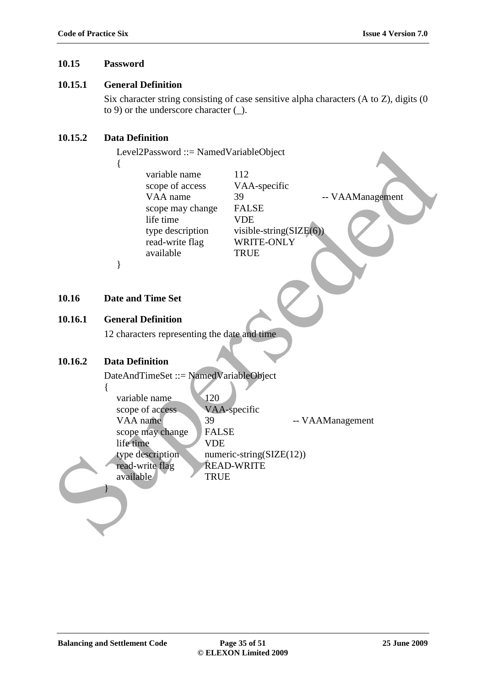# **10.15 Password**

# **10.15.1 General Definition**

Six character string consisting of case sensitive alpha characters (A to Z), digits (0 to 9) or the underscore character (\_).

# **10.15.2 Data Definition**

{

Level2Password ::= NamedVariableObject

variable name 112 scope of access VAA-specific scope may change FALSE life time VDE read-write flag WRITE-ONLY available TRUE

VAA name 39 -- VAAManagement type description visible-string(SIZE(6)

# **10.16 Date and Time Set**

}

# **10.16.1 General Definition**

12 characters representing the date and time

# **10.16.2 Data Definition**

{

}

DateAndTimeSet ::= NamedVariableObject variable name 120 scope of access VAA-specific VAA name 39 -- VAAManagement scope may change FALSE life time VDE type description numeric-string(SIZE(12)) read-write flag READ-WRITE available TRUE Level2Password ::= Named VariableObject<br>
(variable name<br>
scope of access<br>
VAA name<br>
scope may olange - FAI.SH:<br>
Super description<br>
type description<br>
type description<br>
(variable string SIZECO)<br>
Properties<br>
10.16.1 General D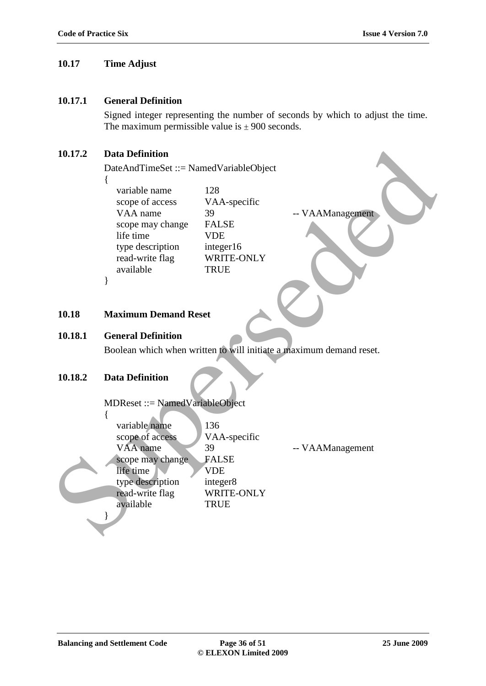# **10.17 Time Adjust**

#### **10.17.1 General Definition**

Signed integer representing the number of seconds by which to adjust the time. The maximum permissible value is  $\pm$  900 seconds.

# **10.17.2 Data Definition**

| 10.17.2 | <b>Data Definition</b>                                                                                                                      |                                                                                                   |                                                                     |
|---------|---------------------------------------------------------------------------------------------------------------------------------------------|---------------------------------------------------------------------------------------------------|---------------------------------------------------------------------|
|         | DateAndTimeSet ::= NamedVariableObject                                                                                                      |                                                                                                   |                                                                     |
|         | {<br>variable name<br>scope of access<br>VAA name<br>scope may change<br>life time<br>type description<br>read-write flag<br>available<br>∤ | 128<br>VAA-specific<br>39<br><b>FALSE</b><br><b>VDE</b><br>integer16<br>WRITE-ONLY<br><b>TRUE</b> | -- VAAManagement                                                    |
| 10.18   | <b>Maximum Demand Reset</b>                                                                                                                 |                                                                                                   |                                                                     |
| 10.18.1 | <b>General Definition</b>                                                                                                                   |                                                                                                   |                                                                     |
|         |                                                                                                                                             |                                                                                                   | Boolean which when written to will initiate a maximum demand reset. |
| 10.18.2 | <b>Data Definition</b><br>MDReset ::= NamedVariableObject                                                                                   |                                                                                                   |                                                                     |
|         | ∤<br>variable name<br>scope of access<br>VAA name<br>scope may change<br>life time<br>type description<br>read-write flag<br>available      | 136<br>VAA-specific<br>39<br><b>FALSE</b><br><b>VDE</b><br>integer8<br>WRITE-ONLY<br><b>TRUE</b>  | -- VAAManagement                                                    |
|         |                                                                                                                                             |                                                                                                   |                                                                     |

#### **10.18 Maximum Demand Reset**

#### **10.18.1 General Definition**

#### **10.18.2 Data Definition**

#### MDReset ::= NamedVariableObject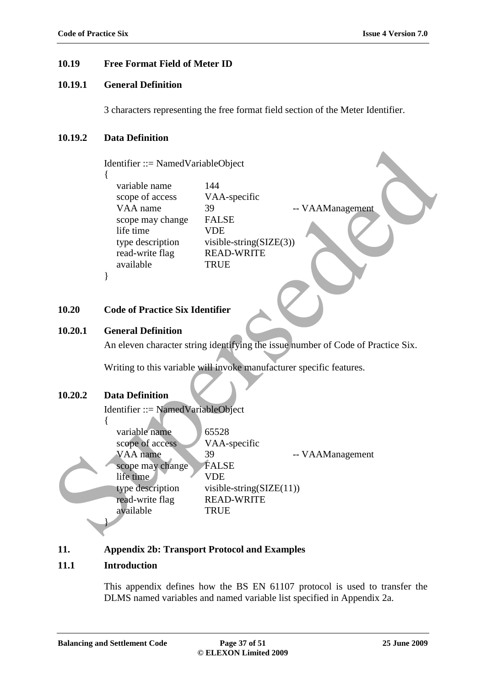# **10.19 Free Format Field of Meter ID**

# **10.19.1 General Definition**

3 characters representing the free format field section of the Meter Identifier.

#### **10.19.2 Data Definition**

Identifier ::= NamedVariableObject {

variable name 144 scope of access VAA-specific VAA name 39 -- VAAManagement scope may change FALSE life time VDE type description visible-string(SIZE(3)) read-write flag READ-WRITE available TRUE

**10.20 Code of Practice Six Identifier**

#### **10.20.1 General Definition**

}

An eleven character string identifying the issue number of Code of Practice Six.

Writing to this variable will invoke manufacturer specific features.

### **10.20.2 Data Definition**

Identifier ::= NamedVariableObject

{ variable name 65528 scope of access VAA-specific VAA name 39 -- VAAManagement scope may change FALSE life time VDE type description visible-string  $(SIZE(11))$ read-write flag READ-WRITE available TRUE } Mentifier := NamedVariableObject<br>
Variation anne (144<br>
scope of access VAA-specific<br>
VAA anne (1996)<br>
Super and a variable string (SIZE(3))<br>
red write flag (BEAD-WRITE<br>
pre description visible-string (SIZE(3))<br>
red write f

#### **11. Appendix 2b: Transport Protocol and Examples**

#### **11.1 Introduction**

This appendix defines how the BS EN 61107 protocol is used to transfer the DLMS named variables and named variable list specified in Appendix 2a.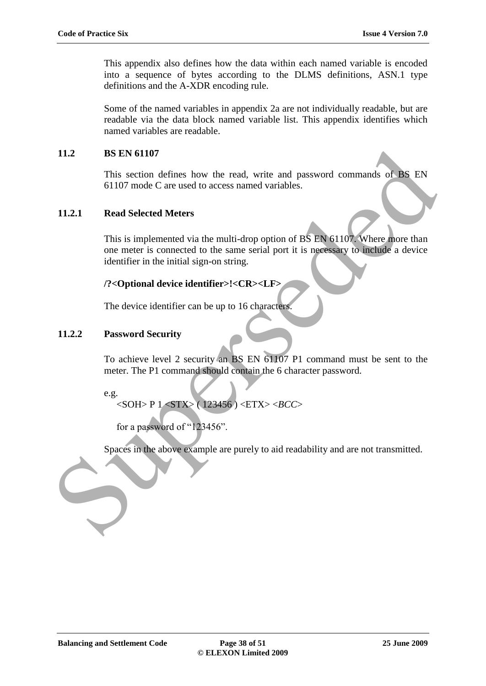This appendix also defines how the data within each named variable is encoded into a sequence of bytes according to the DLMS definitions, ASN.1 type definitions and the A-XDR encoding rule.

Some of the named variables in appendix 2a are not individually readable, but are readable via the data block named variable list. This appendix identifies which named variables are readable.

# **11.2 BS EN 61107**

This section defines how the read, write and password commands of BS EN 61107 mode C are used to access named variables.

# **11.2.1 Read Selected Meters**

This is implemented via the multi-drop option of BS EN 61107. Where more than one meter is connected to the same serial port it is necessary to include a device identifier in the initial sign-on string. 11.2<br>
11.2.1 Read Selected Meters<br>
11.2.1 Read Selected Meters<br>
11.2.1 Read Selected Meters<br>
11.2.1 Read Selected Meters<br>
11.2.1 Read Selected Meters<br>
11.2.2 Password con meter is comerced to the same serial port it is no

# **/?<Optional device identifier>!<CR><LF>**

The device identifier can be up to 16 characters.

# **11.2.2 Password Security**

To achieve level 2 security an BS EN 61107 P1 command must be sent to the meter. The P1 command should contain the 6 character password.

e.g.

```
<SOH> P 1 <STX> ( 123456 ) <ETX> <BCC>
```
for a password of "123456".

Spaces in the above example are purely to aid readability and are not transmitted.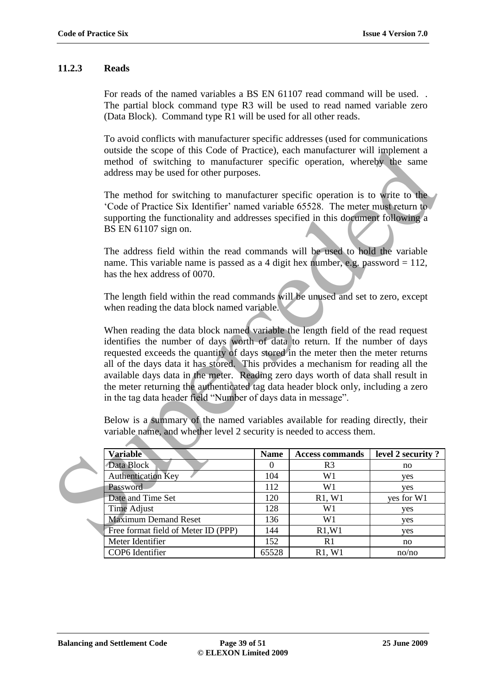### **11.2.3 Reads**

For reads of the named variables a BS EN 61107 read command will be used. . The partial block command type R3 will be used to read named variable zero (Data Block). Command type R1 will be used for all other reads.

To avoid conflicts with manufacturer specific addresses (used for communications outside the scope of this Code of Practice), each manufacturer will implement a method of switching to manufacturer specific operation, whereby the same address may be used for other purposes.

| outside the scope of this Code of Practice), each manufacturer will implement a<br>method of switching to manufacturer specific operation, whereby the same<br>address may be used for other purposes.                                                                                                                                                                                                                                                                                                                                                                                                                                                                                                                                             |                  |                        |                   |  |  |
|----------------------------------------------------------------------------------------------------------------------------------------------------------------------------------------------------------------------------------------------------------------------------------------------------------------------------------------------------------------------------------------------------------------------------------------------------------------------------------------------------------------------------------------------------------------------------------------------------------------------------------------------------------------------------------------------------------------------------------------------------|------------------|------------------------|-------------------|--|--|
| The method for switching to manufacturer specific operation is to write to the<br>'Code of Practice Six Identifier' named variable 65528. The meter must return to<br>supporting the functionality and addresses specified in this document following a<br>BS EN 61107 sign on.                                                                                                                                                                                                                                                                                                                                                                                                                                                                    |                  |                        |                   |  |  |
| The address field within the read commands will be used to hold the variable<br>name. This variable name is passed as a 4 digit hex number, e.g. password $= 112$ ,<br>has the hex address of 0070.                                                                                                                                                                                                                                                                                                                                                                                                                                                                                                                                                |                  |                        |                   |  |  |
| The length field within the read commands will be unused and set to zero, except<br>when reading the data block named variable.                                                                                                                                                                                                                                                                                                                                                                                                                                                                                                                                                                                                                    |                  |                        |                   |  |  |
| When reading the data block named variable the length field of the read request<br>identifies the number of days worth of data to return. If the number of days<br>requested exceeds the quantity of days stored in the meter then the meter returns<br>all of the days data it has stored. This provides a mechanism for reading all the<br>available days data in the meter. Reading zero days worth of data shall result in<br>the meter returning the authenticated tag data header block only, including a zero<br>in the tag data header field "Number of days data in message".<br>Below is a summary of the named variables available for reading directly, their<br>variable name, and whether level 2 security is needed to access them. |                  |                        |                   |  |  |
| <b>Variable</b>                                                                                                                                                                                                                                                                                                                                                                                                                                                                                                                                                                                                                                                                                                                                    | <b>Name</b>      | <b>Access commands</b> | level 2 security? |  |  |
| Data Block                                                                                                                                                                                                                                                                                                                                                                                                                                                                                                                                                                                                                                                                                                                                         | $\boldsymbol{0}$ | R <sub>3</sub>         | no                |  |  |
| <b>Authentication Key</b>                                                                                                                                                                                                                                                                                                                                                                                                                                                                                                                                                                                                                                                                                                                          | 104              | W1                     | yes               |  |  |
| Password                                                                                                                                                                                                                                                                                                                                                                                                                                                                                                                                                                                                                                                                                                                                           | 112              | W1                     | yes               |  |  |
| Date and Time Set                                                                                                                                                                                                                                                                                                                                                                                                                                                                                                                                                                                                                                                                                                                                  | 120              | R1, W1                 | yes for W1        |  |  |
| Time Adjust                                                                                                                                                                                                                                                                                                                                                                                                                                                                                                                                                                                                                                                                                                                                        | 128              | W1                     | yes               |  |  |
| <b>Maximum Demand Reset</b>                                                                                                                                                                                                                                                                                                                                                                                                                                                                                                                                                                                                                                                                                                                        | 136              | W1                     | yes               |  |  |
| Free format field of Meter ID (PPP)                                                                                                                                                                                                                                                                                                                                                                                                                                                                                                                                                                                                                                                                                                                | 144              | R1, W1                 | yes               |  |  |
| Meter Identifier                                                                                                                                                                                                                                                                                                                                                                                                                                                                                                                                                                                                                                                                                                                                   | 152              | R1                     | no                |  |  |
| COP6 Identifier                                                                                                                                                                                                                                                                                                                                                                                                                                                                                                                                                                                                                                                                                                                                    | 65528            | R1, W1                 | no/no             |  |  |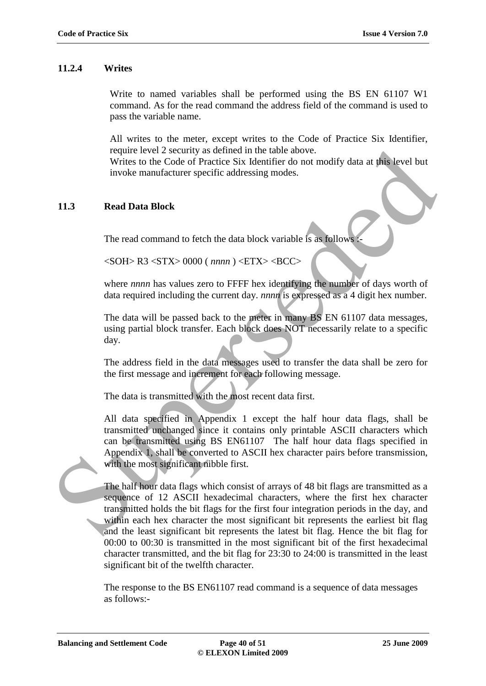# **11.2.4 Writes**

Write to named variables shall be performed using the BS EN 61107 W1 command. As for the read command the address field of the command is used to pass the variable name.

All writes to the meter, except writes to the Code of Practice Six Identifier, require level 2 security as defined in the table above.

Writes to the Code of Practice Six Identifier do not modify data at this level but invoke manufacturer specific addressing modes.

# **11.3 Read Data Block**

The read command to fetch the data block variable is as follows

<SOH> R3 <STX> 0000 ( *nnnn* ) <ETX> <BCC>

where *nnnn* has values zero to FFFF hex identifying the number of days worth of data required including the current day. *nnnn* is expressed as a 4 digit hex number.

The data will be passed back to the meter in many BS EN 61107 data messages, using partial block transfer. Each block does NOT necessarily relate to a specific day.

The address field in the data messages used to transfer the data shall be zero for the first message and increment for each following message.

The data is transmitted with the most recent data first.

All data specified in Appendix 1 except the half hour data flags, shall be transmitted unchanged since it contains only printable ASCII characters which can be transmitted using BS EN61107 The half hour data flags specified in Appendix 1, shall be converted to ASCII hex character pairs before transmission, with the most significant nibble first.

The half hour data flags which consist of arrays of 48 bit flags are transmitted as a sequence of 12 ASCII hexadecimal characters, where the first hex character transmitted holds the bit flags for the first four integration periods in the day, and within each hex character the most significant bit represents the earliest bit flag and the least significant bit represents the latest bit flag. Hence the bit flag for 00:00 to 00:30 is transmitted in the most significant bit of the first hexadecimal character transmitted, and the bit flag for 23:30 to 24:00 is transmitted in the least significant bit of the twelfth character. require level 2 security as defined in the table above.<br>
The hall find the context of Practice Six lelentifer do not modify data at **this** level but<br>
invoke manufacturer specific addressing modes.<br>
The read command to fet

> The response to the BS EN61107 read command is a sequence of data messages as follows:-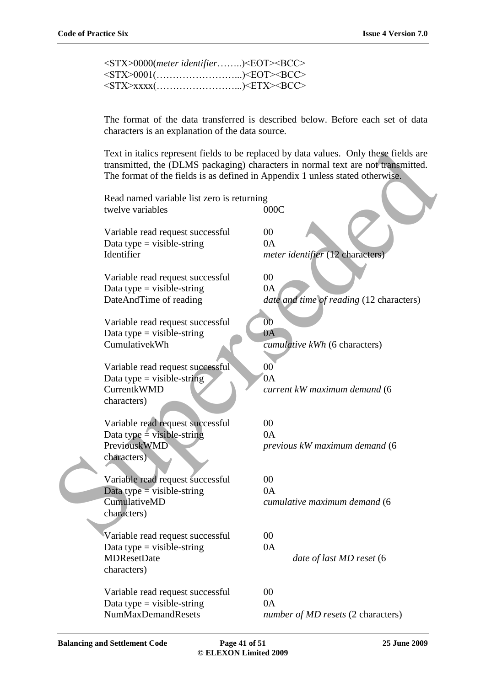| <stx>0000(meter identifier)<eot><bcc></bcc></eot></stx> |  |
|---------------------------------------------------------|--|
| <stx>0001()<eot><bcc></bcc></eot></stx>                 |  |
| <stx>xxxx()<etx><bcc></bcc></etx></stx>                 |  |

The format of the data transferred is described below. Before each set of data characters is an explanation of the data source.

|  | Text in italics represent fields to be replaced by data values. Only these fields are<br>transmitted, the (DLMS packaging) characters in normal text are not transmitted.<br>The format of the fields is as defined in Appendix 1 unless stated otherwise. |                                                      |  |  |  |
|--|------------------------------------------------------------------------------------------------------------------------------------------------------------------------------------------------------------------------------------------------------------|------------------------------------------------------|--|--|--|
|  | Read named variable list zero is returning<br>twelve variables                                                                                                                                                                                             | 000C                                                 |  |  |  |
|  | Variable read request successful<br>Data type = visible-string<br>Identifier                                                                                                                                                                               | 00<br>0A<br>meter identifier (12 characters)         |  |  |  |
|  | Variable read request successful<br>Data type = visible-string<br>DateAndTime of reading                                                                                                                                                                   | 00<br>0A<br>date and time of reading (12 characters) |  |  |  |
|  | Variable read request successful<br>Data type = visible-string<br>CumulativekWh                                                                                                                                                                            | 00<br>0A<br>cumulative kWh (6 characters)            |  |  |  |
|  | Variable read request successful<br>Data type = visible-string<br>CurrentkWMD<br>characters)                                                                                                                                                               | 00<br>0A<br>current kW maximum demand (6             |  |  |  |
|  | Variable read request successful<br>Data type = visible-string<br>PreviouskWMD<br>characters)                                                                                                                                                              | 00<br>0A<br>previous kW maximum demand (6            |  |  |  |
|  | Variable read request successful<br>Data type $=$ visible-string<br>CumulativeMD<br>characters)                                                                                                                                                            | $00\,$<br>0A<br>cumulative maximum demand (6         |  |  |  |
|  | Variable read request successful<br>Data type = visible-string<br><b>MDResetDate</b><br>characters)                                                                                                                                                        | $00\,$<br>0A<br>date of last MD reset (6             |  |  |  |
|  | Variable read request successful<br>Data type = visible-string<br><b>NumMaxDemandResets</b>                                                                                                                                                                | 00<br>0A<br>number of MD resets (2 characters)       |  |  |  |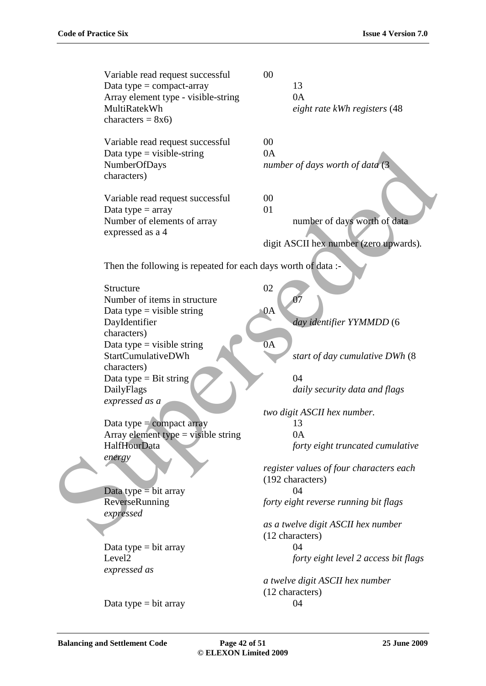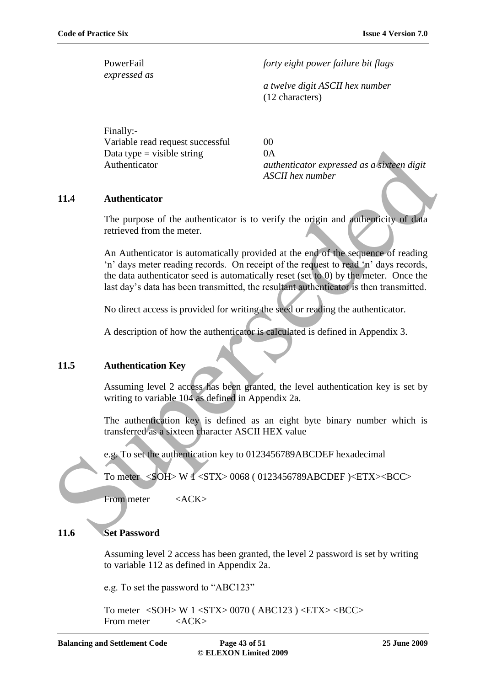*expressed as*

PowerFail *forty eight power failure bit flags* 

*a twelve digit ASCII hex number* (12 characters)

Finally:- Variable read request successful 00 Data type  $=$  visible string  $0A$ 

Authenticator *authenticator expressed as a sixteen digit ASCII hex number*

#### **11.4 Authenticator**

The purpose of the authenticator is to verify the origin and authenticity of data retrieved from the meter.

An Authenticator is automatically provided at the end of the sequence of reading 'n' days meter reading records. On receipt of the request to read 'n' days records, the data authenticator seed is automatically reset (set to 0) by the meter. Once the last day"s data has been transmitted, the resultant authenticator is then transmitted. Data type = visible string<br>  $\alpha$ <br>
Authenticator<br>
Authenticator<br>
The purpose of the authenticator is to verify the origin and authenticity of data<br>
retrieved from the meter.<br>
An Authenticator is atomatically provided at th

No direct access is provided for writing the seed or reading the authenticator.

A description of how the authenticator is calculated is defined in Appendix 3.

# **11.5 Authentication Key**

Assuming level 2 access has been granted, the level authentication key is set by writing to variable 104 as defined in Appendix 2a.

The authentication key is defined as an eight byte binary number which is transferred as a sixteen character ASCII HEX value

e.g. To set the authentication key to 0123456789ABCDEF hexadecimal

To meter <SOH> W 1 <STX> 0068 ( 0123456789ABCDEF )<ETX><BCC>

From meter <ACK>

# **11.6 Set Password**

Assuming level 2 access has been granted, the level 2 password is set by writing to variable 112 as defined in Appendix 2a.

e.g. To set the password to "ABC123"

To meter <SOH> W 1 <STX> 0070 ( ABC123 ) <ETX> <BCC> From meter <ACK>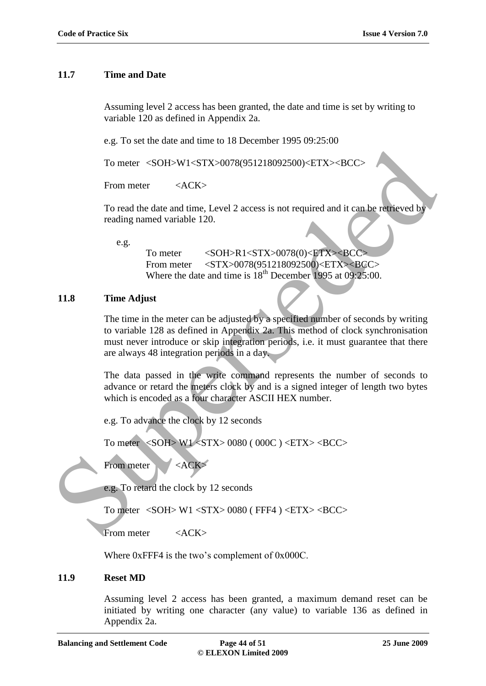# **11.7 Time and Date**

Assuming level 2 access has been granted, the date and time is set by writing to variable 120 as defined in Appendix 2a.

e.g. To set the date and time to 18 December 1995 09:25:00

To meter <SOH>W1<STX>0078(951218092500)<ETX><BCC>

From meter  $\langle \angle ACK \rangle$ 

To read the date and time, Level 2 access is not required and it can be retrieved by reading named variable 120.

e.g.

To meter <SOH>R1<STX>0078(0)<ETX><BCC> From meter <STX>0078(951218092500)<ETX><BCC> Where the date and time is  $18^{th}$  December 1995 at 09:25:00.

# **11.8 Time Adjust**

The time in the meter can be adjusted by a specified number of seconds by writing to variable 128 as defined in Appendix 2a. This method of clock synchronisation must never introduce or skip integration periods, i.e. it must guarantee that there are always 48 integration periods in a day. To meter <SOH>W1<STX>0078(951218092500)-ETX>-BCC<br>
From meter <br>
SACK><br>
To read the date and time, Level 2 access is not required and it can be redrieved by<br>
reading named variable 120.<br>
e.g.<br>
To meter <br>
SOH:SR1×STX>0078(0)

The data passed in the write command represents the number of seconds to advance or retard the meters clock by and is a signed integer of length two bytes which is encoded as a four character ASCII HEX number.

e.g. To advance the clock by 12 seconds

To meter <SOH> W1 <STX> 0080 ( 000C ) <ETX> <BCC>

From meter <ACK>

e.g. To retard the clock by 12 seconds

To meter <SOH> W1 <STX> 0080 ( FFF4 ) <ETX> <BCC>

From meter <ACK>

Where 0xFFF4 is the two's complement of 0x000C.

# **11.9 Reset MD**

Assuming level 2 access has been granted, a maximum demand reset can be initiated by writing one character (any value) to variable 136 as defined in Appendix 2a.

**Balancing and Settlement Code Page 44 of 51 25 June 2009**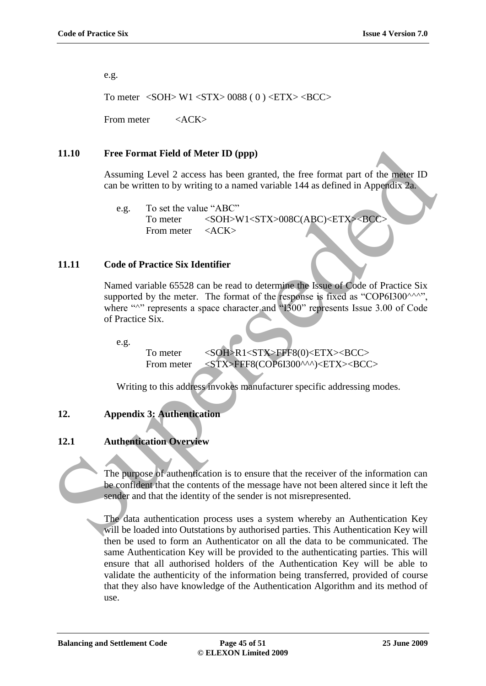e.g.

To meter  $\langle \text{SOH} \rangle$  W1  $\langle \text{STX} \rangle$  0088 (0)  $\langle \text{ETX} \rangle$  <BCC>

From meter <ACK>

#### **11.10 Free Format Field of Meter ID (ppp)**

Assuming Level 2 access has been granted, the free format part of the meter ID can be written to by writing to a named variable 144 as defined in Appendix 2a.

e.g. To set the value "ABC" To meter <SOH>W1<STX>008C(ABC)<ETX><BCC: From meter <ACK>

#### **11.11 Code of Practice Six Identifier**

Named variable 65528 can be read to determine the Issue of Code of Practice Six supported by the meter. The format of the response is fixed as "COP6I300 $\land\land\land\lor\ldots$ ", where "<sup> $\land$ </sup>" represents a space character and "I300" represents Issue 3.00 of Code of Practice Six. 11.10 Free Format Field of Meter ID (ppp)<br>
Assuming Level 2 access has been granted, the free format part of the malar ID<br>
can be written to by writing to a named variable 144 as defined in Apportilix 2n<br>
e.g. To set the

e.g.

To meter <SOH>R1<STX>FFF8(0)<ETX><BCC> From meter <STX>FFF8(COP6I300^^^)<ETX><BCC>

Writing to this address invokes manufacturer specific addressing modes.

#### **12. Appendix 3: Authentication**

#### **12.1 Authentication Overview**

The purpose of authentication is to ensure that the receiver of the information can be confident that the contents of the message have not been altered since it left the sender and that the identity of the sender is not misrepresented.

The data authentication process uses a system whereby an Authentication Key will be loaded into Outstations by authorised parties. This Authentication Key will then be used to form an Authenticator on all the data to be communicated. The same Authentication Key will be provided to the authenticating parties. This will ensure that all authorised holders of the Authentication Key will be able to validate the authenticity of the information being transferred, provided of course that they also have knowledge of the Authentication Algorithm and its method of use.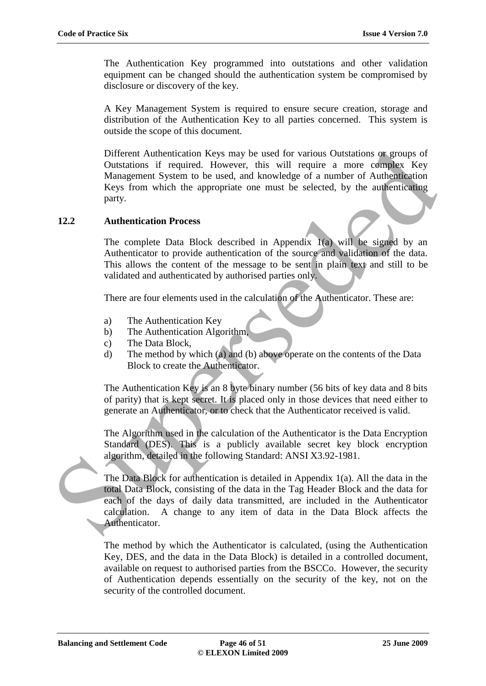The Authentication Key programmed into outstations and other validation equipment can be changed should the authentication system be compromised by disclosure or discovery of the key.

A Key Management System is required to ensure secure creation, storage and distribution of the Authentication Key to all parties concerned. This system is outside the scope of this document.

Different Authentication Keys may be used for various Outstations or groups of Outstations if required. However, this will require a more complex Key Management System to be used, and knowledge of a number of Authentication Keys from which the appropriate one must be selected, by the authenticating party. Different Authorization Keys may be used for various Outstations of groups of<br>Musigrame if required. However, this will require a amore of complex Key<br>Musigrement System to be used, and knowledge of a number of Authenticat

#### **12.2 Authentication Process**

The complete Data Block described in Appendix 1(a) will be signed by an Authenticator to provide authentication of the source and validation of the data. This allows the content of the message to be sent in plain text and still to be validated and authenticated by authorised parties only.

There are four elements used in the calculation of the Authenticator. These are:

- a) The Authentication Key
- b) The Authentication Algorithm,
- c) The Data Block,
- d) The method by which (a) and (b) above operate on the contents of the Data Block to create the Authenticator.

The Authentication Key is an 8 byte binary number (56 bits of key data and 8 bits of parity) that is kept secret. It is placed only in those devices that need either to generate an Authenticator, or to check that the Authenticator received is valid.

The Algorithm used in the calculation of the Authenticator is the Data Encryption Standard (DES). This is a publicly available secret key block encryption algorithm, detailed in the following Standard: ANSI X3.92-1981.

The Data Block for authentication is detailed in Appendix 1(a). All the data in the total Data Block, consisting of the data in the Tag Header Block and the data for each of the days of daily data transmitted, are included in the Authenticator calculation. A change to any item of data in the Data Block affects the Authenticator.

The method by which the Authenticator is calculated, (using the Authentication Key, DES, and the data in the Data Block) is detailed in a controlled document, available on request to authorised parties from the BSCCo. However, the security of Authentication depends essentially on the security of the key, not on the security of the controlled document.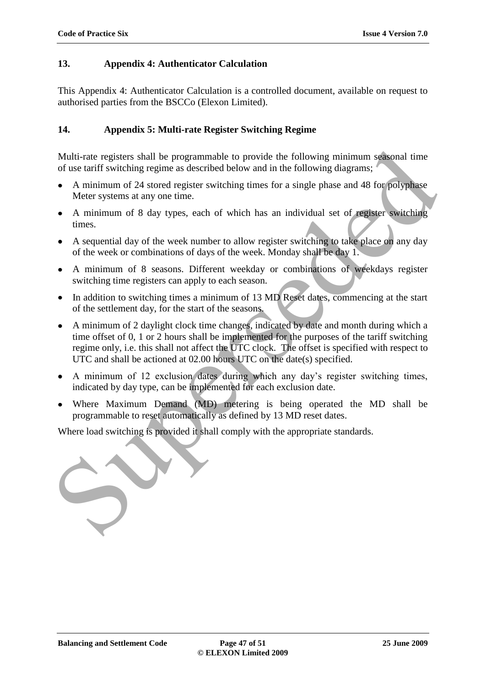# **13. Appendix 4: Authenticator Calculation**

This Appendix 4: Authenticator Calculation is a controlled document, available on request to authorised parties from the BSCCo (Elexon Limited).

# **14. Appendix 5: Multi-rate Register Switching Regime**

Multi-rate registers shall be programmable to provide the following minimum seasonal time of use tariff switching regime as described below and in the following diagrams;

- A minimum of 24 stored register switching times for a single phase and 48 for polyphase Meter systems at any one time.
- A minimum of 8 day types, each of which has an individual set of register switching times.
- A sequential day of the week number to allow register switching to take place on any day of the week or combinations of days of the week. Monday shall be day 1.
- A minimum of 8 seasons. Different weekday or combinations of weekdays register switching time registers can apply to each season.
- In addition to switching times a minimum of 13 MD Reset dates, commencing at the start of the settlement day, for the start of the seasons.
- A minimum of 2 daylight clock time changes, indicated by date and month during which a time offset of 0, 1 or 2 hours shall be implemented for the purposes of the tariff switching regime only, i.e. this shall not affect the UTC clock. The offset is specified with respect to UTC and shall be actioned at 02.00 hours UTC on the date(s) specified. Multi-rate registers shall be programmable to provide the following minimum sessional time<br>of use tirilf wiviting regime as described below and in the following diagrams;<br>A minimum of 24 stored register switching times fo
	- A minimum of 12 exclusion dates during which any day"s register switching times, indicated by day type, can be implemented for each exclusion date.
	- Where Maximum Demand (MD) metering is being operated the MD shall be programmable to reset automatically as defined by 13 MD reset dates.

Where load switching is provided it shall comply with the appropriate standards.

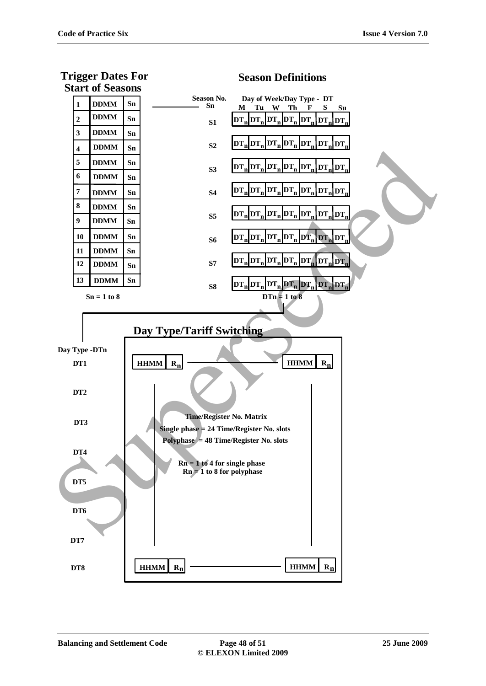**Trigger Dates For**



# **Season Definitions**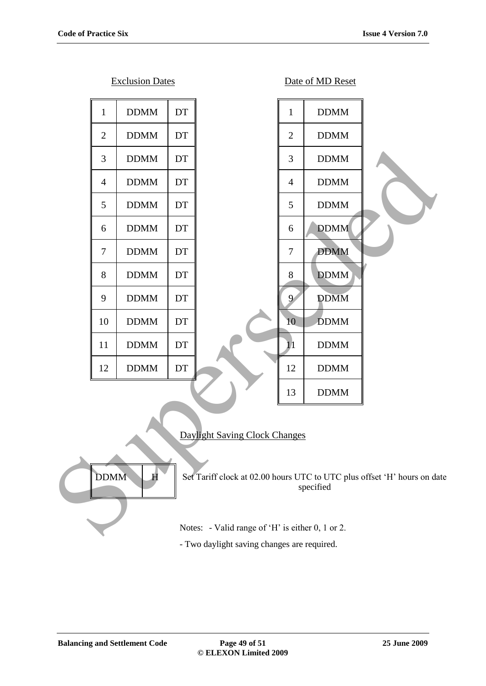|                                                                                                                                                    |                | <b>Exclusion Dates</b> |      |                                                  |                | Date of MD Reset |  |
|----------------------------------------------------------------------------------------------------------------------------------------------------|----------------|------------------------|------|--------------------------------------------------|----------------|------------------|--|
|                                                                                                                                                    | $\mathbf{1}$   | <b>DDMM</b>            | DT   |                                                  | $\mathbf{1}$   | <b>DDMM</b>      |  |
|                                                                                                                                                    | $\overline{2}$ | <b>DDMM</b>            | DT   |                                                  | $\overline{2}$ | <b>DDMM</b>      |  |
|                                                                                                                                                    | 3              | <b>DDMM</b>            | DT   |                                                  | 3              | <b>DDMM</b>      |  |
|                                                                                                                                                    | $\overline{4}$ | <b>DDMM</b>            | DT   |                                                  | $\overline{4}$ | <b>DDMM</b>      |  |
|                                                                                                                                                    | 5              | <b>DDMM</b>            | DT   |                                                  | 5              | <b>DDMM</b>      |  |
|                                                                                                                                                    | 6              | <b>DDMM</b>            | DT   |                                                  | 6              | <b>DDMM</b>      |  |
|                                                                                                                                                    | $\tau$         | <b>DDMM</b>            | DT   |                                                  | $\tau$         | <b>DDMM</b>      |  |
|                                                                                                                                                    | 8              | <b>DDMM</b>            | DT   |                                                  | $8\,$          | <b>DDMM</b>      |  |
|                                                                                                                                                    | 9              | <b>DDMM</b>            | DT   |                                                  | $\overline{9}$ | <b>DDMM</b>      |  |
|                                                                                                                                                    | 10             | <b>DDMM</b>            | DT   |                                                  | 10             | <b>DDMM</b>      |  |
|                                                                                                                                                    | 11             | <b>DDMM</b>            | DT   |                                                  | $11\,$         | <b>DDMM</b>      |  |
|                                                                                                                                                    | 12             | <b>DDMM</b>            | $DT$ |                                                  | 12             | <b>DDMM</b>      |  |
|                                                                                                                                                    |                |                        |      |                                                  | 13             | <b>DDMM</b>      |  |
| Daylight Saving Clock Changes<br><b>DDMM</b><br>Set Tariff clock at 02.00 hours UTC to UTC plus offset 'H' hours on da<br>$\mathbf H$<br>specified |                |                        |      |                                                  |                |                  |  |
|                                                                                                                                                    |                |                        |      | Notes: - Valid range of 'H' is either 0, 1 or 2. |                |                  |  |

# Daylight Saving Clock Changes



- Two daylight saving changes are required.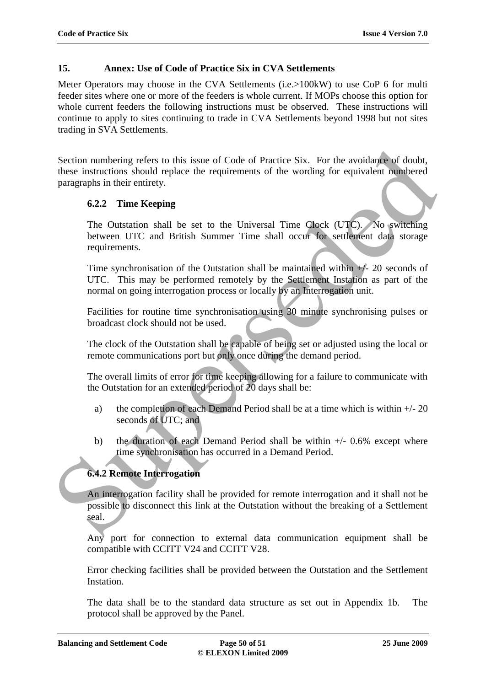# **15. Annex: Use of Code of Practice Six in CVA Settlements**

Meter Operators may choose in the CVA Settlements (i.e. > 100kW) to use CoP 6 for multi feeder sites where one or more of the feeders is whole current. If MOPs choose this option for whole current feeders the following instructions must be observed. These instructions will continue to apply to sites continuing to trade in CVA Settlements beyond 1998 but not sites trading in SVA Settlements.

Section numbering refers to this issue of Code of Practice Six. For the avoidance of doubt, these instructions should replace the requirements of the wording for equivalent numbered paragraphs in their entirety. Section numbering refers to this issue of Code of Practice Six. For the avoidance of doubt,<br>these instructions should replace the requirements of the wording for equivalent numbered<br>paragraphs in their entirety.<br>
6.2.2 Ti

# **6.2.2 Time Keeping**

The Outstation shall be set to the Universal Time Clock (UTC). No switching between UTC and British Summer Time shall occur for settlement data storage requirements.

Time synchronisation of the Outstation shall be maintained within +/- 20 seconds of UTC. This may be performed remotely by the Settlement Instation as part of the normal on going interrogation process or locally by an Interrogation unit.

Facilities for routine time synchronisation using 30 minute synchronising pulses or broadcast clock should not be used.

The clock of the Outstation shall be capable of being set or adjusted using the local or remote communications port but only once during the demand period.

The overall limits of error for time keeping allowing for a failure to communicate with the Outstation for an extended period of 20 days shall be:

- a) the completion of each Demand Period shall be at a time which is within  $+/- 20$ seconds of UTC; and
- b) the duration of each Demand Period shall be within  $+/-$  0.6% except where time synchronisation has occurred in a Demand Period.

# **6.4.2 Remote Interrogation**

An interrogation facility shall be provided for remote interrogation and it shall not be possible to disconnect this link at the Outstation without the breaking of a Settlement seal.

Any port for connection to external data communication equipment shall be compatible with CCITT V24 and CCITT V28.

Error checking facilities shall be provided between the Outstation and the Settlement Instation.

The data shall be to the standard data structure as set out in Appendix 1b. The protocol shall be approved by the Panel.